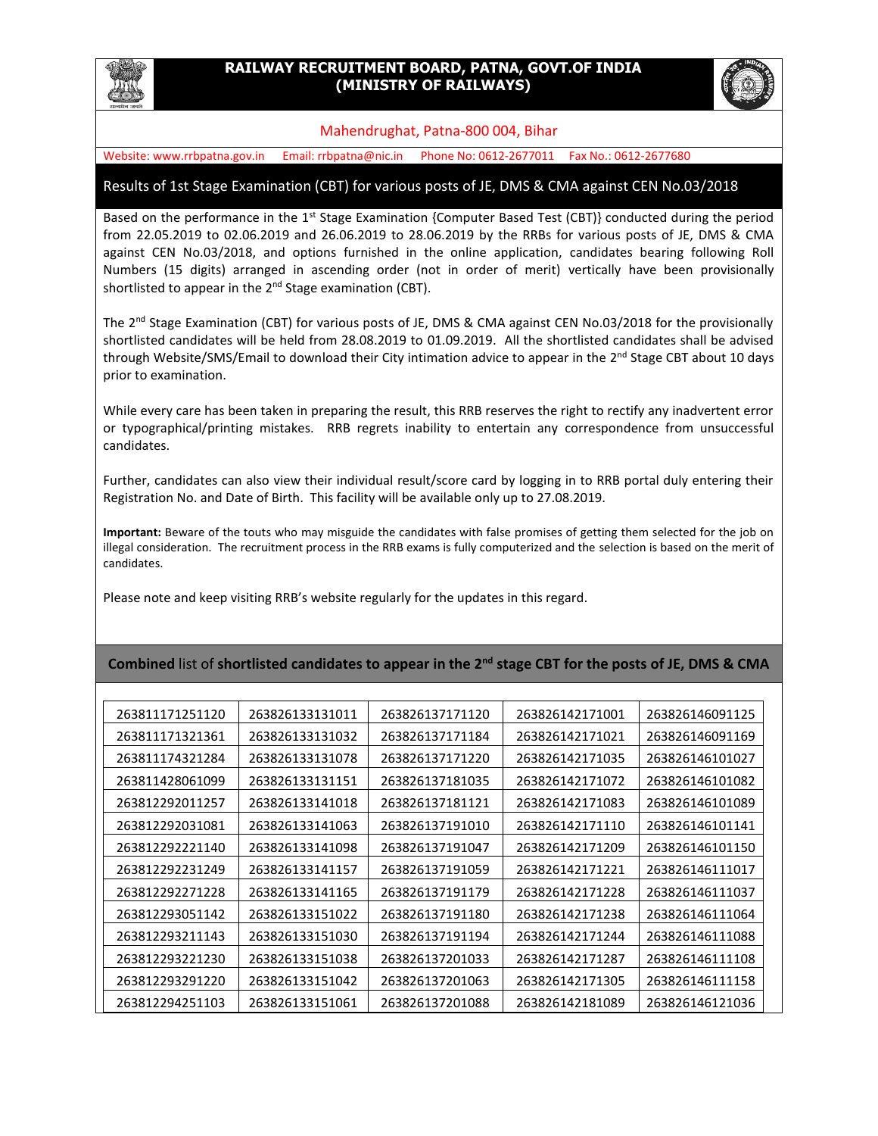

## **RAILWAY RECRUITMENT BOARD, PATNA, GOVT.OF INDIA (MINISTRY OF RAILWAYS)**



## Mahendrughat, Patna-800 004, Bihar

Website: www.rrbpatna.gov.in Email: rrbpatna@nic.in Phone No: 0612-2677011 Fax No.: 0612-2677680

## Results of 1st Stage Examination (CBT) for various posts of JE, DMS & CMA against CEN No.03/2018

Based on the performance in the 1<sup>st</sup> Stage Examination {Computer Based Test (CBT)} conducted during the period from 22.05.2019 to 02.06.2019 and 26.06.2019 to 28.06.2019 by the RRBs for various posts of JE, DMS & CMA against CEN No.03/2018, and options furnished in the online application, candidates bearing following Roll Numbers (15 digits) arranged in ascending order (not in order of merit) vertically have been provisionally shortlisted to appear in the 2<sup>nd</sup> Stage examination (CBT).

The 2<sup>nd</sup> Stage Examination (CBT) for various posts of JE, DMS & CMA against CEN No.03/2018 for the provisionally shortlisted candidates will be held from 28.08.2019 to 01.09.2019. All the shortlisted candidates shall be advised through Website/SMS/Email to download their City intimation advice to appear in the 2<sup>nd</sup> Stage CBT about 10 days prior to examination.

While every care has been taken in preparing the result, this RRB reserves the right to rectify any inadvertent error or typographical/printing mistakes. RRB regrets inability to entertain any correspondence from unsuccessful candidates.

Further, candidates can also view their individual result/score card by logging in to RRB portal duly entering their Registration No. and Date of Birth. This facility will be available only up to 27.08.2019.

**Important:** Beware of the touts who may misguide the candidates with false promises of getting them selected for the job on illegal consideration. The recruitment process in the RRB exams is fully computerized and the selection is based on the merit of candidates.

Please note and keep visiting RRB's website regularly for the updates in this regard.

## **Combined** list of **shortlisted candidates to appear in the 2nd stage CBT for the posts of JE, DMS & CMA**

| 263811171251120 | 263826133131011 | 263826137171120 | 263826142171001 | 263826146091125 |
|-----------------|-----------------|-----------------|-----------------|-----------------|
| 263811171321361 | 263826133131032 | 263826137171184 | 263826142171021 | 263826146091169 |
| 263811174321284 | 263826133131078 | 263826137171220 | 263826142171035 | 263826146101027 |
| 263811428061099 | 263826133131151 | 263826137181035 | 263826142171072 | 263826146101082 |
| 263812292011257 | 263826133141018 | 263826137181121 | 263826142171083 | 263826146101089 |
| 263812292031081 | 263826133141063 | 263826137191010 | 263826142171110 | 263826146101141 |
| 263812292221140 | 263826133141098 | 263826137191047 | 263826142171209 | 263826146101150 |
| 263812292231249 | 263826133141157 | 263826137191059 | 263826142171221 | 263826146111017 |
| 263812292271228 | 263826133141165 | 263826137191179 | 263826142171228 | 263826146111037 |
| 263812293051142 | 263826133151022 | 263826137191180 | 263826142171238 | 263826146111064 |
| 263812293211143 | 263826133151030 | 263826137191194 | 263826142171244 | 263826146111088 |
| 263812293221230 | 263826133151038 | 263826137201033 | 263826142171287 | 263826146111108 |
| 263812293291220 | 263826133151042 | 263826137201063 | 263826142171305 | 263826146111158 |
| 263812294251103 | 263826133151061 | 263826137201088 | 263826142181089 | 263826146121036 |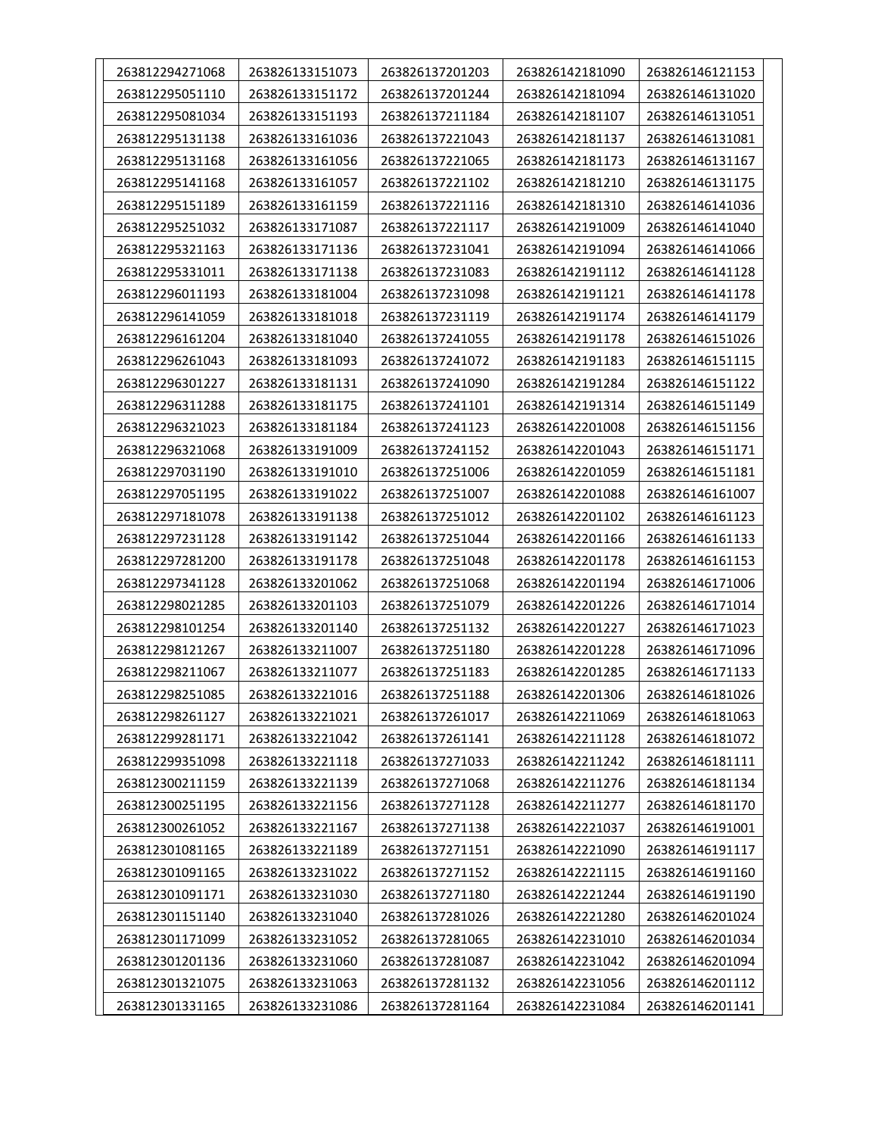| 263812294271068 | 263826133151073 | 263826137201203 | 263826142181090 | 263826146121153 |
|-----------------|-----------------|-----------------|-----------------|-----------------|
| 263812295051110 | 263826133151172 | 263826137201244 | 263826142181094 | 263826146131020 |
| 263812295081034 | 263826133151193 | 263826137211184 | 263826142181107 | 263826146131051 |
| 263812295131138 | 263826133161036 | 263826137221043 | 263826142181137 | 263826146131081 |
| 263812295131168 | 263826133161056 | 263826137221065 | 263826142181173 | 263826146131167 |
| 263812295141168 | 263826133161057 | 263826137221102 | 263826142181210 | 263826146131175 |
| 263812295151189 | 263826133161159 | 263826137221116 | 263826142181310 | 263826146141036 |
| 263812295251032 | 263826133171087 | 263826137221117 | 263826142191009 | 263826146141040 |
| 263812295321163 | 263826133171136 | 263826137231041 | 263826142191094 | 263826146141066 |
| 263812295331011 | 263826133171138 | 263826137231083 | 263826142191112 | 263826146141128 |
| 263812296011193 | 263826133181004 | 263826137231098 | 263826142191121 | 263826146141178 |
| 263812296141059 | 263826133181018 | 263826137231119 | 263826142191174 | 263826146141179 |
| 263812296161204 | 263826133181040 | 263826137241055 | 263826142191178 | 263826146151026 |
| 263812296261043 | 263826133181093 | 263826137241072 | 263826142191183 | 263826146151115 |
| 263812296301227 | 263826133181131 | 263826137241090 | 263826142191284 | 263826146151122 |
| 263812296311288 | 263826133181175 | 263826137241101 | 263826142191314 | 263826146151149 |
| 263812296321023 | 263826133181184 | 263826137241123 | 263826142201008 | 263826146151156 |
| 263812296321068 | 263826133191009 | 263826137241152 | 263826142201043 | 263826146151171 |
| 263812297031190 | 263826133191010 | 263826137251006 | 263826142201059 | 263826146151181 |
| 263812297051195 | 263826133191022 | 263826137251007 | 263826142201088 | 263826146161007 |
| 263812297181078 | 263826133191138 | 263826137251012 | 263826142201102 | 263826146161123 |
| 263812297231128 | 263826133191142 | 263826137251044 | 263826142201166 | 263826146161133 |
| 263812297281200 | 263826133191178 | 263826137251048 | 263826142201178 | 263826146161153 |
| 263812297341128 | 263826133201062 | 263826137251068 | 263826142201194 | 263826146171006 |
| 263812298021285 | 263826133201103 | 263826137251079 | 263826142201226 | 263826146171014 |
| 263812298101254 | 263826133201140 | 263826137251132 | 263826142201227 | 263826146171023 |
| 263812298121267 | 263826133211007 | 263826137251180 | 263826142201228 | 263826146171096 |
| 263812298211067 | 263826133211077 | 263826137251183 | 263826142201285 | 263826146171133 |
| 263812298251085 | 263826133221016 | 263826137251188 | 263826142201306 | 263826146181026 |
| 263812298261127 | 263826133221021 | 263826137261017 | 263826142211069 | 263826146181063 |
| 263812299281171 | 263826133221042 | 263826137261141 | 263826142211128 | 263826146181072 |
| 263812299351098 | 263826133221118 | 263826137271033 | 263826142211242 | 263826146181111 |
| 263812300211159 | 263826133221139 | 263826137271068 | 263826142211276 | 263826146181134 |
| 263812300251195 | 263826133221156 | 263826137271128 | 263826142211277 | 263826146181170 |
| 263812300261052 | 263826133221167 | 263826137271138 | 263826142221037 | 263826146191001 |
| 263812301081165 | 263826133221189 | 263826137271151 | 263826142221090 | 263826146191117 |
| 263812301091165 | 263826133231022 | 263826137271152 | 263826142221115 | 263826146191160 |
| 263812301091171 | 263826133231030 | 263826137271180 | 263826142221244 | 263826146191190 |
| 263812301151140 | 263826133231040 | 263826137281026 | 263826142221280 | 263826146201024 |
| 263812301171099 | 263826133231052 | 263826137281065 | 263826142231010 | 263826146201034 |
| 263812301201136 | 263826133231060 | 263826137281087 | 263826142231042 | 263826146201094 |
| 263812301321075 | 263826133231063 | 263826137281132 | 263826142231056 | 263826146201112 |
| 263812301331165 | 263826133231086 | 263826137281164 | 263826142231084 | 263826146201141 |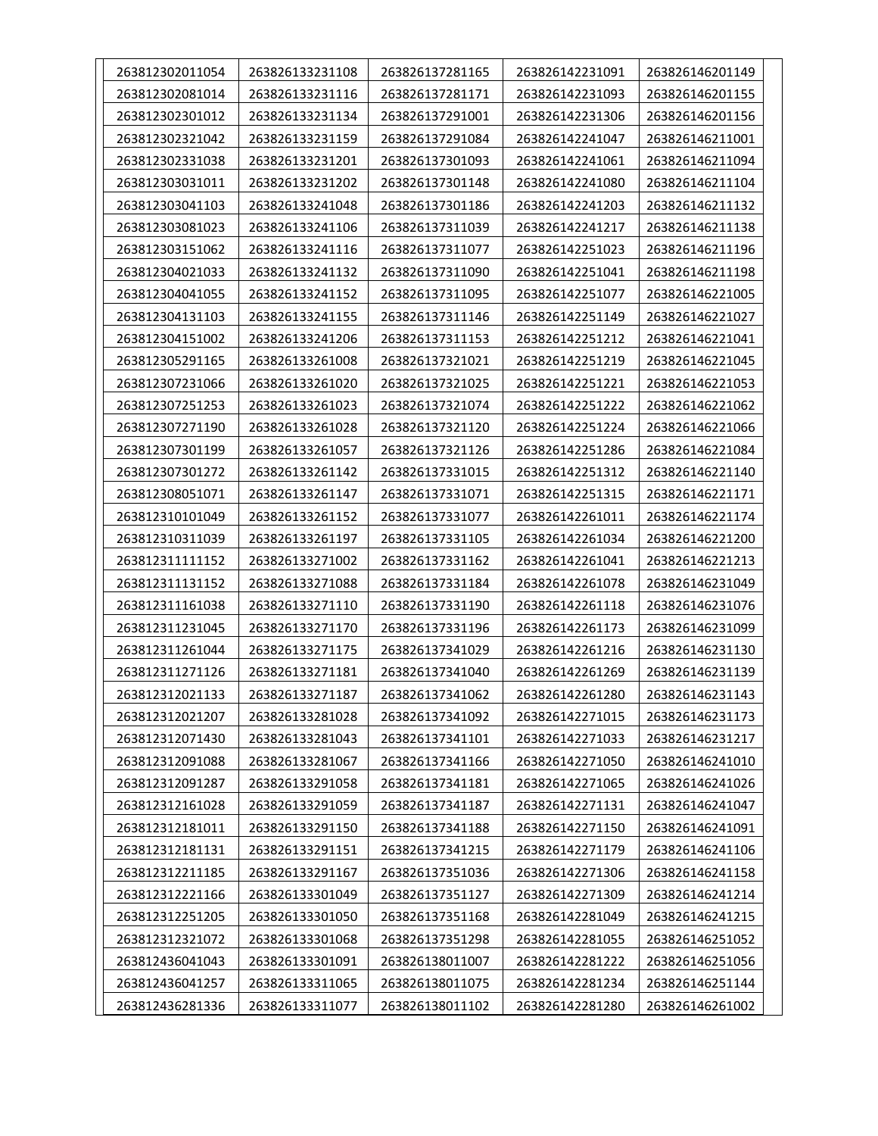| 263812302011054 | 263826133231108 | 263826137281165 | 263826142231091 | 263826146201149 |
|-----------------|-----------------|-----------------|-----------------|-----------------|
| 263812302081014 | 263826133231116 | 263826137281171 | 263826142231093 | 263826146201155 |
| 263812302301012 | 263826133231134 | 263826137291001 | 263826142231306 | 263826146201156 |
| 263812302321042 | 263826133231159 | 263826137291084 | 263826142241047 | 263826146211001 |
| 263812302331038 | 263826133231201 | 263826137301093 | 263826142241061 | 263826146211094 |
| 263812303031011 | 263826133231202 | 263826137301148 | 263826142241080 | 263826146211104 |
| 263812303041103 | 263826133241048 | 263826137301186 | 263826142241203 | 263826146211132 |
| 263812303081023 | 263826133241106 | 263826137311039 | 263826142241217 | 263826146211138 |
| 263812303151062 | 263826133241116 | 263826137311077 | 263826142251023 | 263826146211196 |
| 263812304021033 | 263826133241132 | 263826137311090 | 263826142251041 | 263826146211198 |
| 263812304041055 | 263826133241152 | 263826137311095 | 263826142251077 | 263826146221005 |
| 263812304131103 | 263826133241155 | 263826137311146 | 263826142251149 | 263826146221027 |
| 263812304151002 | 263826133241206 | 263826137311153 | 263826142251212 | 263826146221041 |
| 263812305291165 | 263826133261008 | 263826137321021 | 263826142251219 | 263826146221045 |
| 263812307231066 | 263826133261020 | 263826137321025 | 263826142251221 | 263826146221053 |
| 263812307251253 | 263826133261023 | 263826137321074 | 263826142251222 | 263826146221062 |
| 263812307271190 | 263826133261028 | 263826137321120 | 263826142251224 | 263826146221066 |
| 263812307301199 | 263826133261057 | 263826137321126 | 263826142251286 | 263826146221084 |
| 263812307301272 | 263826133261142 | 263826137331015 | 263826142251312 | 263826146221140 |
| 263812308051071 | 263826133261147 | 263826137331071 | 263826142251315 | 263826146221171 |
| 263812310101049 | 263826133261152 | 263826137331077 | 263826142261011 | 263826146221174 |
| 263812310311039 | 263826133261197 | 263826137331105 | 263826142261034 | 263826146221200 |
| 263812311111152 | 263826133271002 | 263826137331162 | 263826142261041 | 263826146221213 |
| 263812311131152 | 263826133271088 | 263826137331184 | 263826142261078 | 263826146231049 |
| 263812311161038 | 263826133271110 | 263826137331190 | 263826142261118 | 263826146231076 |
| 263812311231045 | 263826133271170 | 263826137331196 | 263826142261173 | 263826146231099 |
| 263812311261044 | 263826133271175 | 263826137341029 | 263826142261216 | 263826146231130 |
| 263812311271126 | 263826133271181 | 263826137341040 | 263826142261269 | 263826146231139 |
| 263812312021133 | 263826133271187 | 263826137341062 | 263826142261280 | 263826146231143 |
| 263812312021207 | 263826133281028 | 263826137341092 | 263826142271015 | 263826146231173 |
| 263812312071430 | 263826133281043 | 263826137341101 | 263826142271033 | 263826146231217 |
| 263812312091088 | 263826133281067 | 263826137341166 | 263826142271050 | 263826146241010 |
| 263812312091287 | 263826133291058 | 263826137341181 | 263826142271065 | 263826146241026 |
| 263812312161028 | 263826133291059 | 263826137341187 | 263826142271131 | 263826146241047 |
| 263812312181011 | 263826133291150 | 263826137341188 | 263826142271150 | 263826146241091 |
| 263812312181131 | 263826133291151 | 263826137341215 | 263826142271179 | 263826146241106 |
| 263812312211185 | 263826133291167 | 263826137351036 | 263826142271306 | 263826146241158 |
| 263812312221166 | 263826133301049 | 263826137351127 | 263826142271309 | 263826146241214 |
| 263812312251205 | 263826133301050 | 263826137351168 | 263826142281049 | 263826146241215 |
| 263812312321072 | 263826133301068 | 263826137351298 | 263826142281055 | 263826146251052 |
| 263812436041043 | 263826133301091 | 263826138011007 | 263826142281222 | 263826146251056 |
| 263812436041257 | 263826133311065 | 263826138011075 | 263826142281234 | 263826146251144 |
| 263812436281336 | 263826133311077 | 263826138011102 | 263826142281280 | 263826146261002 |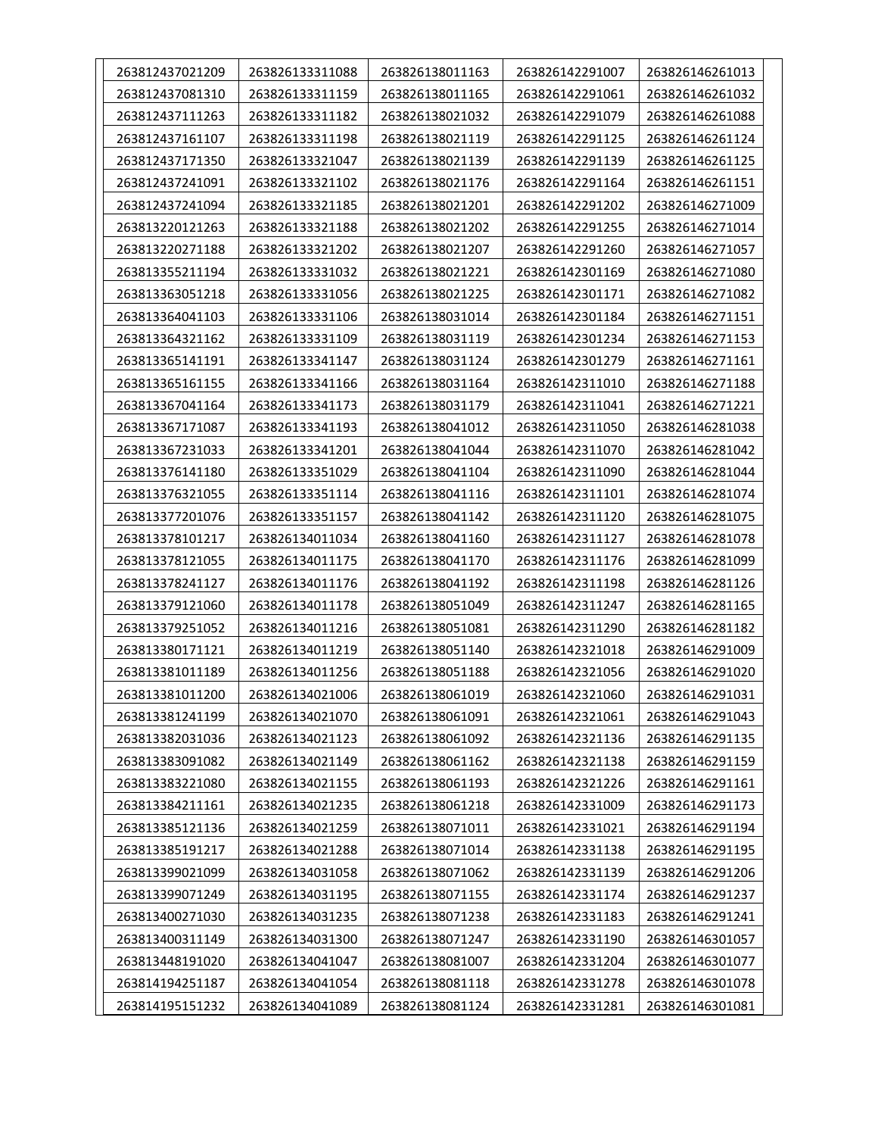| 263812437021209 | 263826133311088 | 263826138011163 | 263826142291007 | 263826146261013 |
|-----------------|-----------------|-----------------|-----------------|-----------------|
| 263812437081310 | 263826133311159 | 263826138011165 | 263826142291061 | 263826146261032 |
| 263812437111263 | 263826133311182 | 263826138021032 | 263826142291079 | 263826146261088 |
| 263812437161107 | 263826133311198 | 263826138021119 | 263826142291125 | 263826146261124 |
| 263812437171350 | 263826133321047 | 263826138021139 | 263826142291139 | 263826146261125 |
| 263812437241091 | 263826133321102 | 263826138021176 | 263826142291164 | 263826146261151 |
| 263812437241094 | 263826133321185 | 263826138021201 | 263826142291202 | 263826146271009 |
| 263813220121263 | 263826133321188 | 263826138021202 | 263826142291255 | 263826146271014 |
| 263813220271188 | 263826133321202 | 263826138021207 | 263826142291260 | 263826146271057 |
| 263813355211194 | 263826133331032 | 263826138021221 | 263826142301169 | 263826146271080 |
| 263813363051218 | 263826133331056 | 263826138021225 | 263826142301171 | 263826146271082 |
| 263813364041103 | 263826133331106 | 263826138031014 | 263826142301184 | 263826146271151 |
| 263813364321162 | 263826133331109 | 263826138031119 | 263826142301234 | 263826146271153 |
| 263813365141191 | 263826133341147 | 263826138031124 | 263826142301279 | 263826146271161 |
| 263813365161155 | 263826133341166 | 263826138031164 | 263826142311010 | 263826146271188 |
| 263813367041164 | 263826133341173 | 263826138031179 | 263826142311041 | 263826146271221 |
| 263813367171087 | 263826133341193 | 263826138041012 | 263826142311050 | 263826146281038 |
| 263813367231033 | 263826133341201 | 263826138041044 | 263826142311070 | 263826146281042 |
| 263813376141180 | 263826133351029 | 263826138041104 | 263826142311090 | 263826146281044 |
| 263813376321055 | 263826133351114 | 263826138041116 | 263826142311101 | 263826146281074 |
| 263813377201076 | 263826133351157 | 263826138041142 | 263826142311120 | 263826146281075 |
| 263813378101217 | 263826134011034 | 263826138041160 | 263826142311127 | 263826146281078 |
| 263813378121055 | 263826134011175 | 263826138041170 | 263826142311176 | 263826146281099 |
| 263813378241127 | 263826134011176 | 263826138041192 | 263826142311198 | 263826146281126 |
| 263813379121060 | 263826134011178 | 263826138051049 | 263826142311247 | 263826146281165 |
| 263813379251052 | 263826134011216 | 263826138051081 | 263826142311290 | 263826146281182 |
| 263813380171121 | 263826134011219 | 263826138051140 | 263826142321018 | 263826146291009 |
| 263813381011189 | 263826134011256 | 263826138051188 | 263826142321056 | 263826146291020 |
| 263813381011200 | 263826134021006 | 263826138061019 | 263826142321060 | 263826146291031 |
| 263813381241199 | 263826134021070 | 263826138061091 | 263826142321061 | 263826146291043 |
| 263813382031036 | 263826134021123 | 263826138061092 | 263826142321136 | 263826146291135 |
| 263813383091082 | 263826134021149 | 263826138061162 | 263826142321138 | 263826146291159 |
| 263813383221080 | 263826134021155 | 263826138061193 | 263826142321226 | 263826146291161 |
| 263813384211161 | 263826134021235 | 263826138061218 | 263826142331009 | 263826146291173 |
| 263813385121136 | 263826134021259 | 263826138071011 | 263826142331021 | 263826146291194 |
| 263813385191217 | 263826134021288 | 263826138071014 | 263826142331138 | 263826146291195 |
| 263813399021099 | 263826134031058 | 263826138071062 | 263826142331139 | 263826146291206 |
| 263813399071249 | 263826134031195 | 263826138071155 | 263826142331174 | 263826146291237 |
| 263813400271030 | 263826134031235 | 263826138071238 | 263826142331183 | 263826146291241 |
| 263813400311149 | 263826134031300 | 263826138071247 | 263826142331190 | 263826146301057 |
| 263813448191020 | 263826134041047 | 263826138081007 | 263826142331204 | 263826146301077 |
| 263814194251187 | 263826134041054 | 263826138081118 | 263826142331278 | 263826146301078 |
| 263814195151232 | 263826134041089 | 263826138081124 | 263826142331281 | 263826146301081 |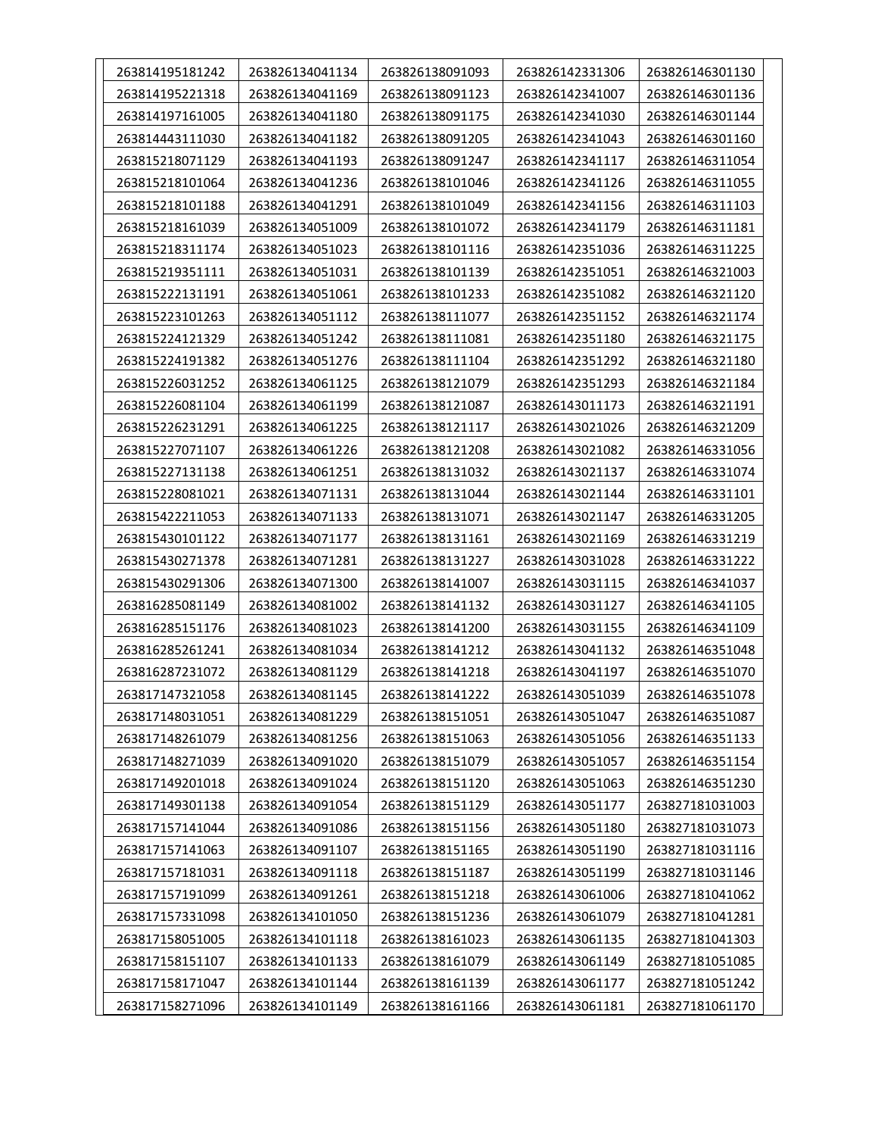| 263814195181242 | 263826134041134 | 263826138091093 | 263826142331306 | 263826146301130 |
|-----------------|-----------------|-----------------|-----------------|-----------------|
| 263814195221318 | 263826134041169 | 263826138091123 | 263826142341007 | 263826146301136 |
| 263814197161005 | 263826134041180 | 263826138091175 | 263826142341030 | 263826146301144 |
| 263814443111030 | 263826134041182 | 263826138091205 | 263826142341043 | 263826146301160 |
| 263815218071129 | 263826134041193 | 263826138091247 | 263826142341117 | 263826146311054 |
| 263815218101064 | 263826134041236 | 263826138101046 | 263826142341126 | 263826146311055 |
| 263815218101188 | 263826134041291 | 263826138101049 | 263826142341156 | 263826146311103 |
| 263815218161039 | 263826134051009 | 263826138101072 | 263826142341179 | 263826146311181 |
| 263815218311174 | 263826134051023 | 263826138101116 | 263826142351036 | 263826146311225 |
| 263815219351111 | 263826134051031 | 263826138101139 | 263826142351051 | 263826146321003 |
| 263815222131191 | 263826134051061 | 263826138101233 | 263826142351082 | 263826146321120 |
| 263815223101263 | 263826134051112 | 263826138111077 | 263826142351152 | 263826146321174 |
| 263815224121329 | 263826134051242 | 263826138111081 | 263826142351180 | 263826146321175 |
| 263815224191382 | 263826134051276 | 263826138111104 | 263826142351292 | 263826146321180 |
| 263815226031252 | 263826134061125 | 263826138121079 | 263826142351293 | 263826146321184 |
| 263815226081104 | 263826134061199 | 263826138121087 | 263826143011173 | 263826146321191 |
| 263815226231291 | 263826134061225 | 263826138121117 | 263826143021026 | 263826146321209 |
| 263815227071107 | 263826134061226 | 263826138121208 | 263826143021082 | 263826146331056 |
| 263815227131138 | 263826134061251 | 263826138131032 | 263826143021137 | 263826146331074 |
| 263815228081021 | 263826134071131 | 263826138131044 | 263826143021144 | 263826146331101 |
| 263815422211053 | 263826134071133 | 263826138131071 | 263826143021147 | 263826146331205 |
| 263815430101122 | 263826134071177 | 263826138131161 | 263826143021169 | 263826146331219 |
| 263815430271378 | 263826134071281 | 263826138131227 | 263826143031028 | 263826146331222 |
| 263815430291306 | 263826134071300 | 263826138141007 | 263826143031115 | 263826146341037 |
| 263816285081149 | 263826134081002 | 263826138141132 | 263826143031127 | 263826146341105 |
| 263816285151176 | 263826134081023 | 263826138141200 | 263826143031155 | 263826146341109 |
| 263816285261241 | 263826134081034 | 263826138141212 | 263826143041132 | 263826146351048 |
| 263816287231072 | 263826134081129 | 263826138141218 | 263826143041197 | 263826146351070 |
| 263817147321058 | 263826134081145 | 263826138141222 | 263826143051039 | 263826146351078 |
| 263817148031051 | 263826134081229 | 263826138151051 | 263826143051047 | 263826146351087 |
| 263817148261079 | 263826134081256 | 263826138151063 | 263826143051056 | 263826146351133 |
| 263817148271039 | 263826134091020 | 263826138151079 | 263826143051057 | 263826146351154 |
| 263817149201018 | 263826134091024 | 263826138151120 | 263826143051063 | 263826146351230 |
| 263817149301138 | 263826134091054 | 263826138151129 | 263826143051177 | 263827181031003 |
| 263817157141044 | 263826134091086 | 263826138151156 | 263826143051180 | 263827181031073 |
| 263817157141063 | 263826134091107 | 263826138151165 | 263826143051190 | 263827181031116 |
| 263817157181031 | 263826134091118 | 263826138151187 | 263826143051199 | 263827181031146 |
| 263817157191099 | 263826134091261 | 263826138151218 | 263826143061006 | 263827181041062 |
| 263817157331098 | 263826134101050 | 263826138151236 | 263826143061079 | 263827181041281 |
| 263817158051005 | 263826134101118 | 263826138161023 | 263826143061135 | 263827181041303 |
| 263817158151107 | 263826134101133 | 263826138161079 | 263826143061149 | 263827181051085 |
| 263817158171047 | 263826134101144 | 263826138161139 | 263826143061177 | 263827181051242 |
| 263817158271096 | 263826134101149 | 263826138161166 | 263826143061181 | 263827181061170 |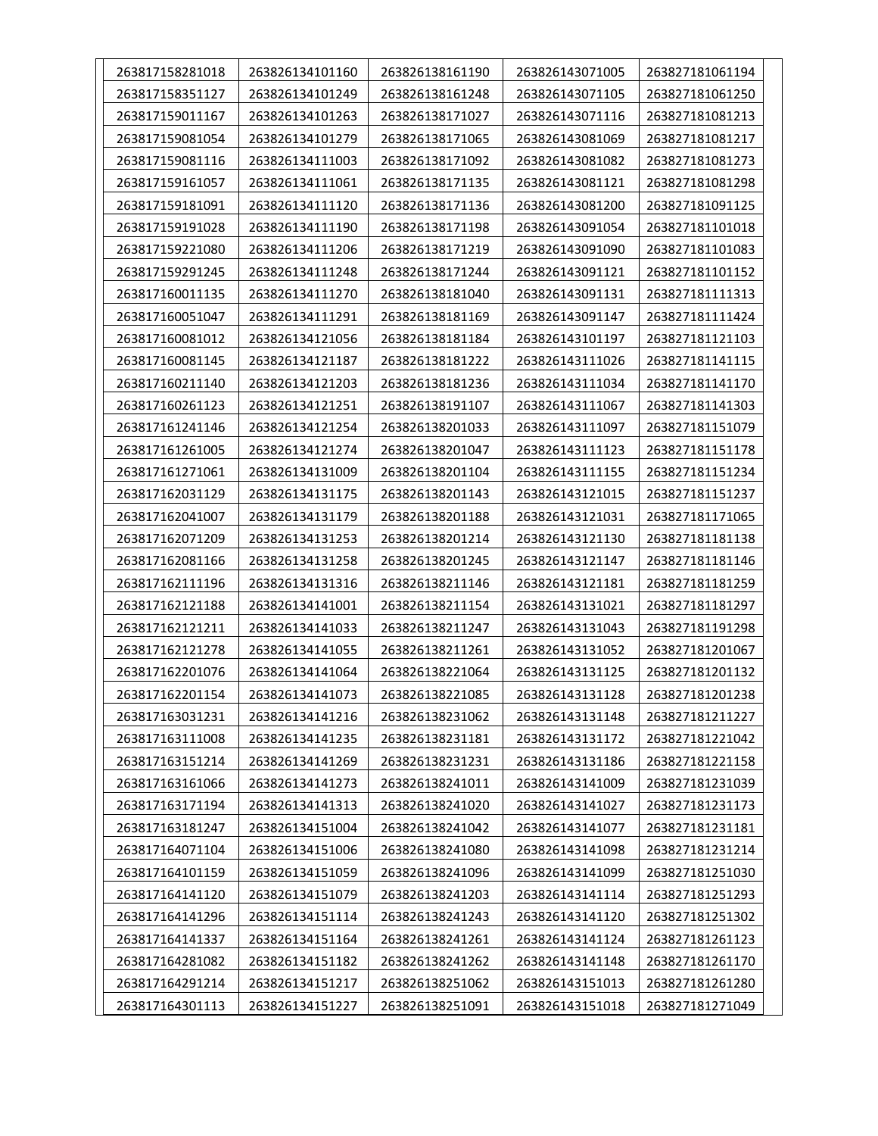| 263817158281018 | 263826134101160 | 263826138161190 | 263826143071005 | 263827181061194 |
|-----------------|-----------------|-----------------|-----------------|-----------------|
| 263817158351127 | 263826134101249 | 263826138161248 | 263826143071105 | 263827181061250 |
| 263817159011167 | 263826134101263 | 263826138171027 | 263826143071116 | 263827181081213 |
| 263817159081054 | 263826134101279 | 263826138171065 | 263826143081069 | 263827181081217 |
| 263817159081116 | 263826134111003 | 263826138171092 | 263826143081082 | 263827181081273 |
| 263817159161057 | 263826134111061 | 263826138171135 | 263826143081121 | 263827181081298 |
| 263817159181091 | 263826134111120 | 263826138171136 | 263826143081200 | 263827181091125 |
| 263817159191028 | 263826134111190 | 263826138171198 | 263826143091054 | 263827181101018 |
| 263817159221080 | 263826134111206 | 263826138171219 | 263826143091090 | 263827181101083 |
| 263817159291245 | 263826134111248 | 263826138171244 | 263826143091121 | 263827181101152 |
| 263817160011135 | 263826134111270 | 263826138181040 | 263826143091131 | 263827181111313 |
| 263817160051047 | 263826134111291 | 263826138181169 | 263826143091147 | 263827181111424 |
| 263817160081012 | 263826134121056 | 263826138181184 | 263826143101197 | 263827181121103 |
| 263817160081145 | 263826134121187 | 263826138181222 | 263826143111026 | 263827181141115 |
| 263817160211140 | 263826134121203 | 263826138181236 | 263826143111034 | 263827181141170 |
| 263817160261123 | 263826134121251 | 263826138191107 | 263826143111067 | 263827181141303 |
| 263817161241146 | 263826134121254 | 263826138201033 | 263826143111097 | 263827181151079 |
| 263817161261005 | 263826134121274 | 263826138201047 | 263826143111123 | 263827181151178 |
| 263817161271061 | 263826134131009 | 263826138201104 | 263826143111155 | 263827181151234 |
| 263817162031129 | 263826134131175 | 263826138201143 | 263826143121015 | 263827181151237 |
| 263817162041007 | 263826134131179 | 263826138201188 | 263826143121031 | 263827181171065 |
| 263817162071209 | 263826134131253 | 263826138201214 | 263826143121130 | 263827181181138 |
| 263817162081166 | 263826134131258 | 263826138201245 | 263826143121147 | 263827181181146 |
| 263817162111196 | 263826134131316 | 263826138211146 | 263826143121181 | 263827181181259 |
| 263817162121188 | 263826134141001 | 263826138211154 | 263826143131021 | 263827181181297 |
| 263817162121211 | 263826134141033 | 263826138211247 | 263826143131043 | 263827181191298 |
| 263817162121278 | 263826134141055 | 263826138211261 | 263826143131052 | 263827181201067 |
| 263817162201076 | 263826134141064 | 263826138221064 | 263826143131125 | 263827181201132 |
| 263817162201154 | 263826134141073 | 263826138221085 | 263826143131128 | 263827181201238 |
| 263817163031231 | 263826134141216 | 263826138231062 | 263826143131148 | 263827181211227 |
| 263817163111008 | 263826134141235 | 263826138231181 | 263826143131172 | 263827181221042 |
| 263817163151214 | 263826134141269 | 263826138231231 | 263826143131186 | 263827181221158 |
| 263817163161066 | 263826134141273 | 263826138241011 | 263826143141009 | 263827181231039 |
| 263817163171194 | 263826134141313 | 263826138241020 | 263826143141027 | 263827181231173 |
| 263817163181247 | 263826134151004 | 263826138241042 | 263826143141077 | 263827181231181 |
| 263817164071104 | 263826134151006 | 263826138241080 | 263826143141098 | 263827181231214 |
| 263817164101159 | 263826134151059 | 263826138241096 | 263826143141099 | 263827181251030 |
| 263817164141120 | 263826134151079 | 263826138241203 | 263826143141114 | 263827181251293 |
| 263817164141296 | 263826134151114 | 263826138241243 | 263826143141120 | 263827181251302 |
| 263817164141337 | 263826134151164 | 263826138241261 | 263826143141124 | 263827181261123 |
| 263817164281082 | 263826134151182 | 263826138241262 | 263826143141148 | 263827181261170 |
| 263817164291214 | 263826134151217 | 263826138251062 | 263826143151013 | 263827181261280 |
| 263817164301113 | 263826134151227 | 263826138251091 | 263826143151018 | 263827181271049 |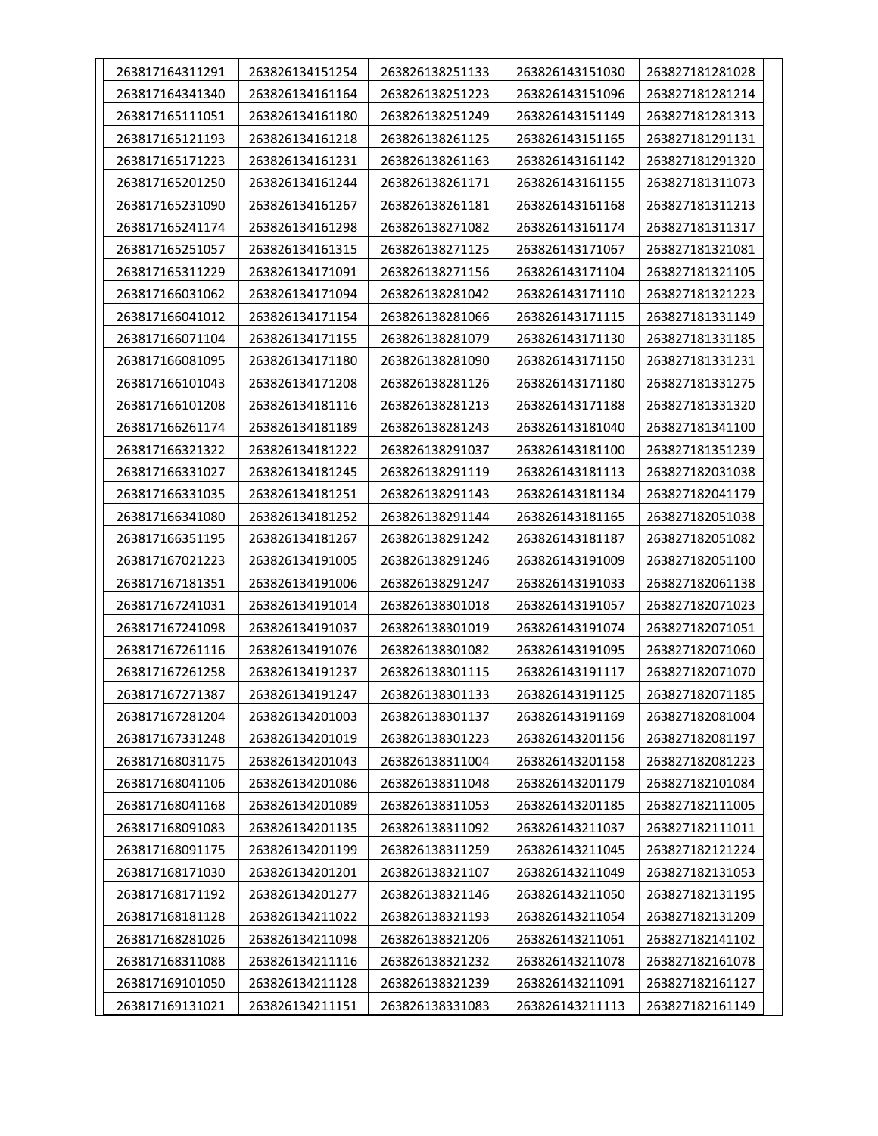| 263817164311291 | 263826134151254 | 263826138251133 | 263826143151030 | 263827181281028 |
|-----------------|-----------------|-----------------|-----------------|-----------------|
| 263817164341340 | 263826134161164 | 263826138251223 | 263826143151096 | 263827181281214 |
| 263817165111051 | 263826134161180 | 263826138251249 | 263826143151149 | 263827181281313 |
| 263817165121193 | 263826134161218 | 263826138261125 | 263826143151165 | 263827181291131 |
| 263817165171223 | 263826134161231 | 263826138261163 | 263826143161142 | 263827181291320 |
| 263817165201250 | 263826134161244 | 263826138261171 | 263826143161155 | 263827181311073 |
| 263817165231090 | 263826134161267 | 263826138261181 | 263826143161168 | 263827181311213 |
| 263817165241174 | 263826134161298 | 263826138271082 | 263826143161174 | 263827181311317 |
| 263817165251057 | 263826134161315 | 263826138271125 | 263826143171067 | 263827181321081 |
| 263817165311229 | 263826134171091 | 263826138271156 | 263826143171104 | 263827181321105 |
| 263817166031062 | 263826134171094 | 263826138281042 | 263826143171110 | 263827181321223 |
| 263817166041012 | 263826134171154 | 263826138281066 | 263826143171115 | 263827181331149 |
| 263817166071104 | 263826134171155 | 263826138281079 | 263826143171130 | 263827181331185 |
| 263817166081095 | 263826134171180 | 263826138281090 | 263826143171150 | 263827181331231 |
| 263817166101043 | 263826134171208 | 263826138281126 | 263826143171180 | 263827181331275 |
| 263817166101208 | 263826134181116 | 263826138281213 | 263826143171188 | 263827181331320 |
| 263817166261174 | 263826134181189 | 263826138281243 | 263826143181040 | 263827181341100 |
| 263817166321322 | 263826134181222 | 263826138291037 | 263826143181100 | 263827181351239 |
| 263817166331027 | 263826134181245 | 263826138291119 | 263826143181113 | 263827182031038 |
| 263817166331035 | 263826134181251 | 263826138291143 | 263826143181134 | 263827182041179 |
| 263817166341080 | 263826134181252 | 263826138291144 | 263826143181165 | 263827182051038 |
| 263817166351195 | 263826134181267 | 263826138291242 | 263826143181187 | 263827182051082 |
| 263817167021223 | 263826134191005 | 263826138291246 | 263826143191009 | 263827182051100 |
| 263817167181351 | 263826134191006 | 263826138291247 | 263826143191033 | 263827182061138 |
| 263817167241031 | 263826134191014 | 263826138301018 | 263826143191057 | 263827182071023 |
| 263817167241098 | 263826134191037 | 263826138301019 | 263826143191074 | 263827182071051 |
| 263817167261116 | 263826134191076 | 263826138301082 | 263826143191095 | 263827182071060 |
| 263817167261258 | 263826134191237 | 263826138301115 | 263826143191117 | 263827182071070 |
| 263817167271387 | 263826134191247 | 263826138301133 | 263826143191125 | 263827182071185 |
| 263817167281204 | 263826134201003 | 263826138301137 | 263826143191169 | 263827182081004 |
| 263817167331248 | 263826134201019 | 263826138301223 | 263826143201156 | 263827182081197 |
| 263817168031175 | 263826134201043 | 263826138311004 | 263826143201158 | 263827182081223 |
| 263817168041106 | 263826134201086 | 263826138311048 | 263826143201179 | 263827182101084 |
| 263817168041168 | 263826134201089 | 263826138311053 | 263826143201185 | 263827182111005 |
| 263817168091083 | 263826134201135 | 263826138311092 | 263826143211037 | 263827182111011 |
| 263817168091175 | 263826134201199 | 263826138311259 | 263826143211045 | 263827182121224 |
| 263817168171030 | 263826134201201 | 263826138321107 | 263826143211049 | 263827182131053 |
| 263817168171192 | 263826134201277 | 263826138321146 | 263826143211050 | 263827182131195 |
| 263817168181128 | 263826134211022 | 263826138321193 | 263826143211054 | 263827182131209 |
| 263817168281026 | 263826134211098 | 263826138321206 | 263826143211061 | 263827182141102 |
| 263817168311088 | 263826134211116 | 263826138321232 | 263826143211078 | 263827182161078 |
| 263817169101050 | 263826134211128 | 263826138321239 | 263826143211091 | 263827182161127 |
| 263817169131021 | 263826134211151 | 263826138331083 | 263826143211113 | 263827182161149 |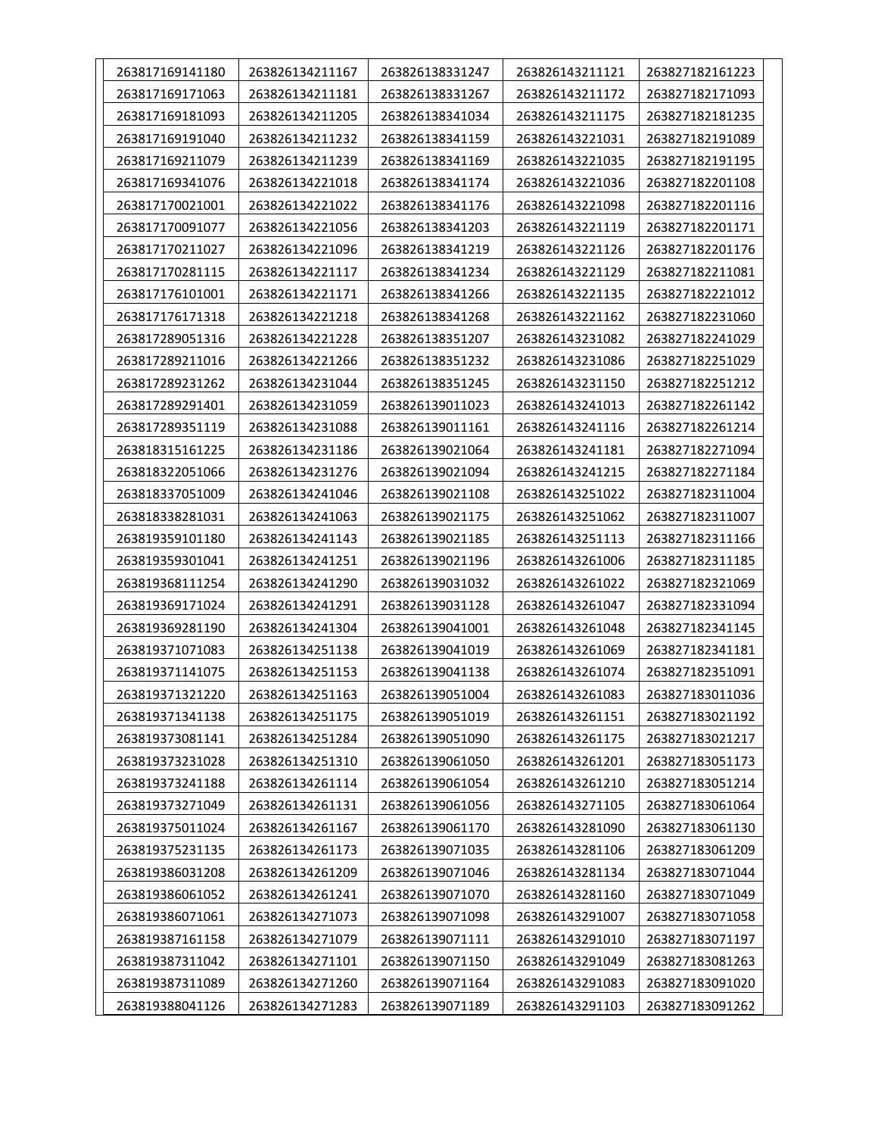| 263817169141180 | 263826134211167 | 263826138331247 | 263826143211121 | 263827182161223 |
|-----------------|-----------------|-----------------|-----------------|-----------------|
| 263817169171063 | 263826134211181 | 263826138331267 | 263826143211172 | 263827182171093 |
| 263817169181093 | 263826134211205 | 263826138341034 | 263826143211175 | 263827182181235 |
| 263817169191040 | 263826134211232 | 263826138341159 | 263826143221031 | 263827182191089 |
| 263817169211079 | 263826134211239 | 263826138341169 | 263826143221035 | 263827182191195 |
| 263817169341076 | 263826134221018 | 263826138341174 | 263826143221036 | 263827182201108 |
| 263817170021001 | 263826134221022 | 263826138341176 | 263826143221098 | 263827182201116 |
| 263817170091077 | 263826134221056 | 263826138341203 | 263826143221119 | 263827182201171 |
| 263817170211027 | 263826134221096 | 263826138341219 | 263826143221126 | 263827182201176 |
| 263817170281115 | 263826134221117 | 263826138341234 | 263826143221129 | 263827182211081 |
| 263817176101001 | 263826134221171 | 263826138341266 | 263826143221135 | 263827182221012 |
| 263817176171318 | 263826134221218 | 263826138341268 | 263826143221162 | 263827182231060 |
| 263817289051316 | 263826134221228 | 263826138351207 | 263826143231082 | 263827182241029 |
| 263817289211016 | 263826134221266 | 263826138351232 | 263826143231086 | 263827182251029 |
| 263817289231262 | 263826134231044 | 263826138351245 | 263826143231150 | 263827182251212 |
| 263817289291401 | 263826134231059 | 263826139011023 | 263826143241013 | 263827182261142 |
| 263817289351119 | 263826134231088 | 263826139011161 | 263826143241116 | 263827182261214 |
| 263818315161225 | 263826134231186 | 263826139021064 | 263826143241181 | 263827182271094 |
| 263818322051066 | 263826134231276 | 263826139021094 | 263826143241215 | 263827182271184 |
| 263818337051009 | 263826134241046 | 263826139021108 | 263826143251022 | 263827182311004 |
| 263818338281031 | 263826134241063 | 263826139021175 | 263826143251062 | 263827182311007 |
| 263819359101180 | 263826134241143 | 263826139021185 | 263826143251113 | 263827182311166 |
| 263819359301041 | 263826134241251 | 263826139021196 | 263826143261006 | 263827182311185 |
| 263819368111254 | 263826134241290 | 263826139031032 | 263826143261022 | 263827182321069 |
| 263819369171024 | 263826134241291 | 263826139031128 | 263826143261047 | 263827182331094 |
| 263819369281190 | 263826134241304 | 263826139041001 | 263826143261048 | 263827182341145 |
| 263819371071083 | 263826134251138 | 263826139041019 | 263826143261069 | 263827182341181 |
| 263819371141075 | 263826134251153 | 263826139041138 | 263826143261074 | 263827182351091 |
| 263819371321220 | 263826134251163 | 263826139051004 | 263826143261083 | 263827183011036 |
| 263819371341138 | 263826134251175 | 263826139051019 | 263826143261151 | 263827183021192 |
| 263819373081141 | 263826134251284 | 263826139051090 | 263826143261175 | 263827183021217 |
| 263819373231028 | 263826134251310 | 263826139061050 | 263826143261201 | 263827183051173 |
| 263819373241188 | 263826134261114 | 263826139061054 | 263826143261210 | 263827183051214 |
| 263819373271049 | 263826134261131 | 263826139061056 | 263826143271105 | 263827183061064 |
| 263819375011024 | 263826134261167 | 263826139061170 | 263826143281090 | 263827183061130 |
| 263819375231135 | 263826134261173 | 263826139071035 | 263826143281106 | 263827183061209 |
| 263819386031208 | 263826134261209 | 263826139071046 | 263826143281134 | 263827183071044 |
| 263819386061052 | 263826134261241 | 263826139071070 | 263826143281160 | 263827183071049 |
| 263819386071061 | 263826134271073 | 263826139071098 | 263826143291007 | 263827183071058 |
| 263819387161158 | 263826134271079 | 263826139071111 | 263826143291010 | 263827183071197 |
| 263819387311042 | 263826134271101 | 263826139071150 | 263826143291049 | 263827183081263 |
| 263819387311089 | 263826134271260 | 263826139071164 | 263826143291083 | 263827183091020 |
| 263819388041126 | 263826134271283 | 263826139071189 | 263826143291103 | 263827183091262 |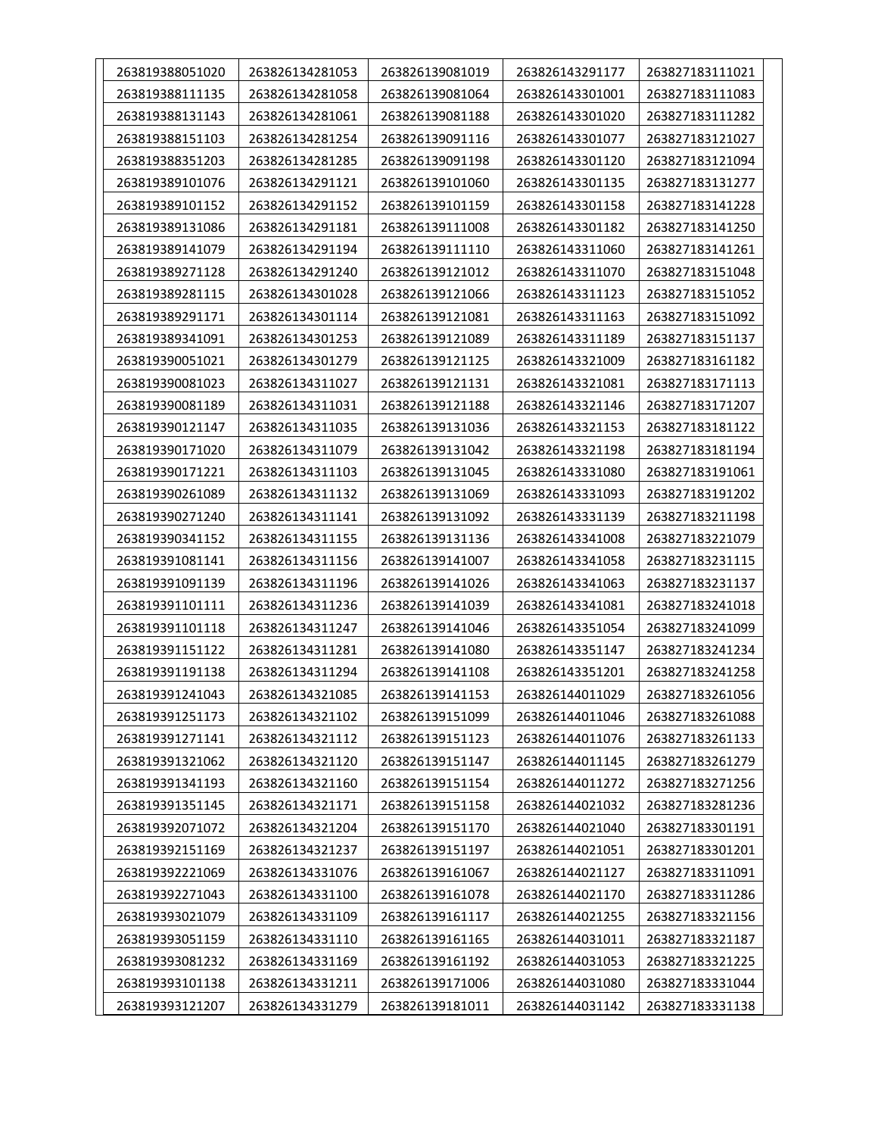| 263819388051020 | 263826134281053 | 263826139081019 | 263826143291177 | 263827183111021 |
|-----------------|-----------------|-----------------|-----------------|-----------------|
| 263819388111135 | 263826134281058 | 263826139081064 | 263826143301001 | 263827183111083 |
| 263819388131143 | 263826134281061 | 263826139081188 | 263826143301020 | 263827183111282 |
| 263819388151103 | 263826134281254 | 263826139091116 | 263826143301077 | 263827183121027 |
| 263819388351203 | 263826134281285 | 263826139091198 | 263826143301120 | 263827183121094 |
| 263819389101076 | 263826134291121 | 263826139101060 | 263826143301135 | 263827183131277 |
| 263819389101152 | 263826134291152 | 263826139101159 | 263826143301158 | 263827183141228 |
| 263819389131086 | 263826134291181 | 263826139111008 | 263826143301182 | 263827183141250 |
| 263819389141079 | 263826134291194 | 263826139111110 | 263826143311060 | 263827183141261 |
| 263819389271128 | 263826134291240 | 263826139121012 | 263826143311070 | 263827183151048 |
| 263819389281115 | 263826134301028 | 263826139121066 | 263826143311123 | 263827183151052 |
| 263819389291171 | 263826134301114 | 263826139121081 | 263826143311163 | 263827183151092 |
| 263819389341091 | 263826134301253 | 263826139121089 | 263826143311189 | 263827183151137 |
| 263819390051021 | 263826134301279 | 263826139121125 | 263826143321009 | 263827183161182 |
| 263819390081023 | 263826134311027 | 263826139121131 | 263826143321081 | 263827183171113 |
| 263819390081189 | 263826134311031 | 263826139121188 | 263826143321146 | 263827183171207 |
| 263819390121147 | 263826134311035 | 263826139131036 | 263826143321153 | 263827183181122 |
| 263819390171020 | 263826134311079 | 263826139131042 | 263826143321198 | 263827183181194 |
| 263819390171221 | 263826134311103 | 263826139131045 | 263826143331080 | 263827183191061 |
| 263819390261089 | 263826134311132 | 263826139131069 | 263826143331093 | 263827183191202 |
| 263819390271240 | 263826134311141 | 263826139131092 | 263826143331139 | 263827183211198 |
| 263819390341152 | 263826134311155 | 263826139131136 | 263826143341008 | 263827183221079 |
| 263819391081141 | 263826134311156 | 263826139141007 | 263826143341058 | 263827183231115 |
| 263819391091139 | 263826134311196 | 263826139141026 | 263826143341063 | 263827183231137 |
| 263819391101111 | 263826134311236 | 263826139141039 | 263826143341081 | 263827183241018 |
| 263819391101118 | 263826134311247 | 263826139141046 | 263826143351054 | 263827183241099 |
| 263819391151122 | 263826134311281 | 263826139141080 | 263826143351147 | 263827183241234 |
| 263819391191138 | 263826134311294 | 263826139141108 | 263826143351201 | 263827183241258 |
| 263819391241043 | 263826134321085 | 263826139141153 | 263826144011029 | 263827183261056 |
| 263819391251173 | 263826134321102 | 263826139151099 | 263826144011046 | 263827183261088 |
| 263819391271141 | 263826134321112 | 263826139151123 | 263826144011076 | 263827183261133 |
| 263819391321062 | 263826134321120 | 263826139151147 | 263826144011145 | 263827183261279 |
| 263819391341193 | 263826134321160 | 263826139151154 | 263826144011272 | 263827183271256 |
| 263819391351145 | 263826134321171 | 263826139151158 | 263826144021032 | 263827183281236 |
| 263819392071072 | 263826134321204 | 263826139151170 | 263826144021040 | 263827183301191 |
| 263819392151169 | 263826134321237 | 263826139151197 | 263826144021051 | 263827183301201 |
| 263819392221069 | 263826134331076 | 263826139161067 | 263826144021127 | 263827183311091 |
| 263819392271043 | 263826134331100 | 263826139161078 | 263826144021170 | 263827183311286 |
| 263819393021079 | 263826134331109 | 263826139161117 | 263826144021255 | 263827183321156 |
| 263819393051159 | 263826134331110 | 263826139161165 | 263826144031011 | 263827183321187 |
| 263819393081232 | 263826134331169 | 263826139161192 | 263826144031053 | 263827183321225 |
| 263819393101138 | 263826134331211 | 263826139171006 | 263826144031080 | 263827183331044 |
| 263819393121207 | 263826134331279 | 263826139181011 | 263826144031142 | 263827183331138 |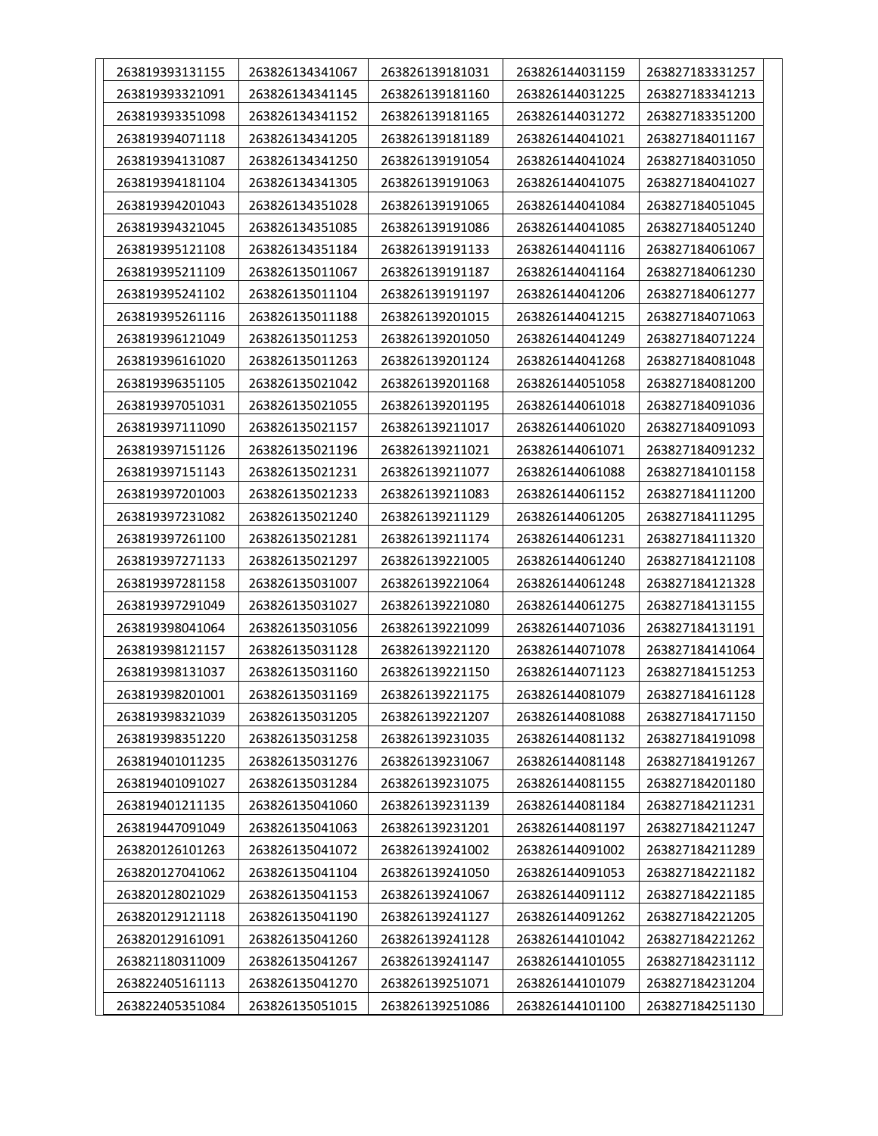| 263819393131155 | 263826134341067 | 263826139181031 | 263826144031159 | 263827183331257 |
|-----------------|-----------------|-----------------|-----------------|-----------------|
| 263819393321091 | 263826134341145 | 263826139181160 | 263826144031225 | 263827183341213 |
| 263819393351098 | 263826134341152 | 263826139181165 | 263826144031272 | 263827183351200 |
| 263819394071118 | 263826134341205 | 263826139181189 | 263826144041021 | 263827184011167 |
| 263819394131087 | 263826134341250 | 263826139191054 | 263826144041024 | 263827184031050 |
| 263819394181104 | 263826134341305 | 263826139191063 | 263826144041075 | 263827184041027 |
| 263819394201043 | 263826134351028 | 263826139191065 | 263826144041084 | 263827184051045 |
| 263819394321045 | 263826134351085 | 263826139191086 | 263826144041085 | 263827184051240 |
| 263819395121108 | 263826134351184 | 263826139191133 | 263826144041116 | 263827184061067 |
| 263819395211109 | 263826135011067 | 263826139191187 | 263826144041164 | 263827184061230 |
| 263819395241102 | 263826135011104 | 263826139191197 | 263826144041206 | 263827184061277 |
| 263819395261116 | 263826135011188 | 263826139201015 | 263826144041215 | 263827184071063 |
| 263819396121049 | 263826135011253 | 263826139201050 | 263826144041249 | 263827184071224 |
| 263819396161020 | 263826135011263 | 263826139201124 | 263826144041268 | 263827184081048 |
| 263819396351105 | 263826135021042 | 263826139201168 | 263826144051058 | 263827184081200 |
| 263819397051031 | 263826135021055 | 263826139201195 | 263826144061018 | 263827184091036 |
| 263819397111090 | 263826135021157 | 263826139211017 | 263826144061020 | 263827184091093 |
| 263819397151126 | 263826135021196 | 263826139211021 | 263826144061071 | 263827184091232 |
| 263819397151143 | 263826135021231 | 263826139211077 | 263826144061088 | 263827184101158 |
| 263819397201003 | 263826135021233 | 263826139211083 | 263826144061152 | 263827184111200 |
| 263819397231082 | 263826135021240 | 263826139211129 | 263826144061205 | 263827184111295 |
| 263819397261100 | 263826135021281 | 263826139211174 | 263826144061231 | 263827184111320 |
| 263819397271133 | 263826135021297 | 263826139221005 | 263826144061240 | 263827184121108 |
| 263819397281158 | 263826135031007 | 263826139221064 | 263826144061248 | 263827184121328 |
| 263819397291049 | 263826135031027 | 263826139221080 | 263826144061275 | 263827184131155 |
| 263819398041064 | 263826135031056 | 263826139221099 | 263826144071036 | 263827184131191 |
| 263819398121157 | 263826135031128 | 263826139221120 | 263826144071078 | 263827184141064 |
| 263819398131037 | 263826135031160 | 263826139221150 | 263826144071123 | 263827184151253 |
| 263819398201001 | 263826135031169 | 263826139221175 | 263826144081079 | 263827184161128 |
| 263819398321039 | 263826135031205 | 263826139221207 | 263826144081088 | 263827184171150 |
| 263819398351220 | 263826135031258 | 263826139231035 | 263826144081132 | 263827184191098 |
| 263819401011235 | 263826135031276 | 263826139231067 | 263826144081148 | 263827184191267 |
| 263819401091027 | 263826135031284 | 263826139231075 | 263826144081155 | 263827184201180 |
| 263819401211135 | 263826135041060 | 263826139231139 | 263826144081184 | 263827184211231 |
| 263819447091049 | 263826135041063 | 263826139231201 | 263826144081197 | 263827184211247 |
| 263820126101263 | 263826135041072 | 263826139241002 | 263826144091002 | 263827184211289 |
| 263820127041062 | 263826135041104 | 263826139241050 | 263826144091053 | 263827184221182 |
| 263820128021029 | 263826135041153 | 263826139241067 | 263826144091112 | 263827184221185 |
| 263820129121118 | 263826135041190 | 263826139241127 | 263826144091262 | 263827184221205 |
| 263820129161091 | 263826135041260 | 263826139241128 | 263826144101042 | 263827184221262 |
| 263821180311009 | 263826135041267 | 263826139241147 | 263826144101055 | 263827184231112 |
| 263822405161113 | 263826135041270 | 263826139251071 | 263826144101079 | 263827184231204 |
| 263822405351084 | 263826135051015 | 263826139251086 | 263826144101100 | 263827184251130 |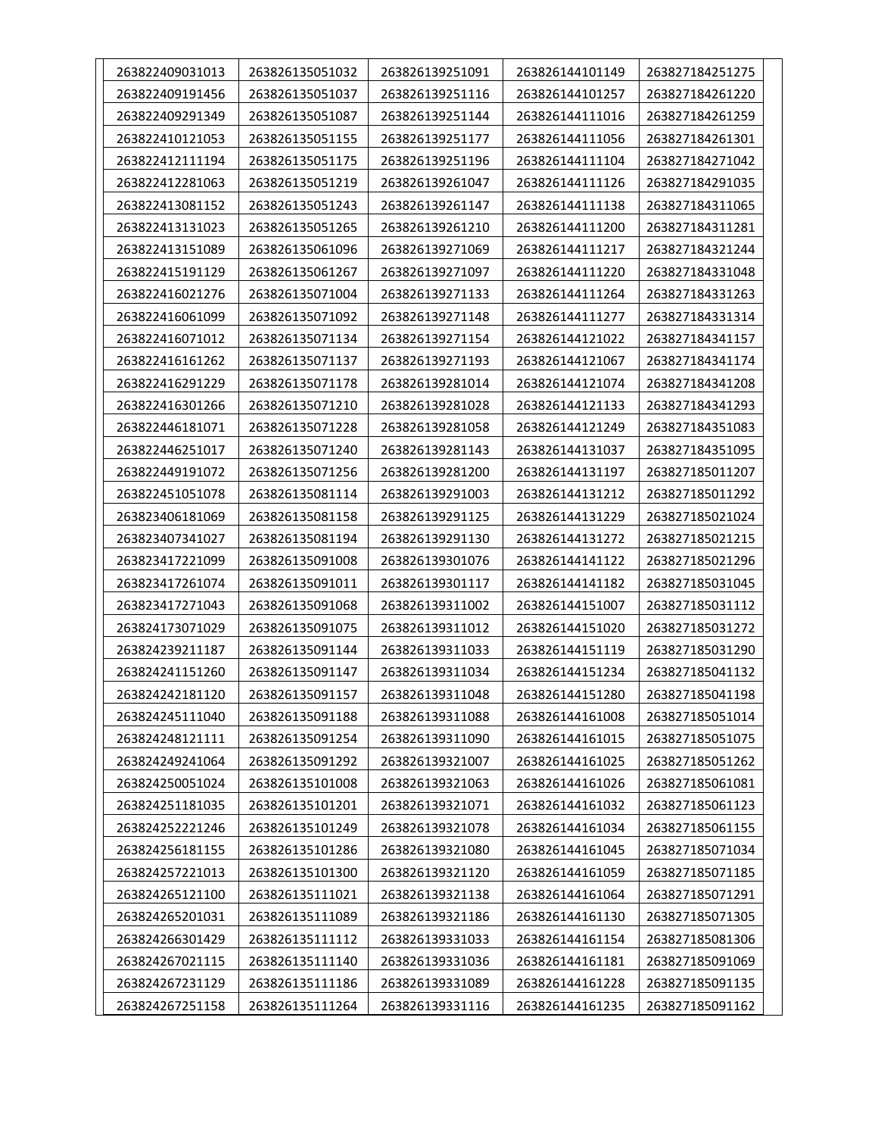| 263822409031013 | 263826135051032 | 263826139251091 | 263826144101149 | 263827184251275 |
|-----------------|-----------------|-----------------|-----------------|-----------------|
| 263822409191456 | 263826135051037 | 263826139251116 | 263826144101257 | 263827184261220 |
| 263822409291349 | 263826135051087 | 263826139251144 | 263826144111016 | 263827184261259 |
| 263822410121053 | 263826135051155 | 263826139251177 | 263826144111056 | 263827184261301 |
| 263822412111194 | 263826135051175 | 263826139251196 | 263826144111104 | 263827184271042 |
| 263822412281063 | 263826135051219 | 263826139261047 | 263826144111126 | 263827184291035 |
| 263822413081152 | 263826135051243 | 263826139261147 | 263826144111138 | 263827184311065 |
| 263822413131023 | 263826135051265 | 263826139261210 | 263826144111200 | 263827184311281 |
| 263822413151089 | 263826135061096 | 263826139271069 | 263826144111217 | 263827184321244 |
| 263822415191129 | 263826135061267 | 263826139271097 | 263826144111220 | 263827184331048 |
| 263822416021276 | 263826135071004 | 263826139271133 | 263826144111264 | 263827184331263 |
| 263822416061099 | 263826135071092 | 263826139271148 | 263826144111277 | 263827184331314 |
| 263822416071012 | 263826135071134 | 263826139271154 | 263826144121022 | 263827184341157 |
| 263822416161262 | 263826135071137 | 263826139271193 | 263826144121067 | 263827184341174 |
| 263822416291229 | 263826135071178 | 263826139281014 | 263826144121074 | 263827184341208 |
| 263822416301266 | 263826135071210 | 263826139281028 | 263826144121133 | 263827184341293 |
| 263822446181071 | 263826135071228 | 263826139281058 | 263826144121249 | 263827184351083 |
| 263822446251017 | 263826135071240 | 263826139281143 | 263826144131037 | 263827184351095 |
| 263822449191072 | 263826135071256 | 263826139281200 | 263826144131197 | 263827185011207 |
| 263822451051078 | 263826135081114 | 263826139291003 | 263826144131212 | 263827185011292 |
| 263823406181069 | 263826135081158 | 263826139291125 | 263826144131229 | 263827185021024 |
| 263823407341027 | 263826135081194 | 263826139291130 | 263826144131272 | 263827185021215 |
| 263823417221099 | 263826135091008 | 263826139301076 | 263826144141122 | 263827185021296 |
| 263823417261074 | 263826135091011 | 263826139301117 | 263826144141182 | 263827185031045 |
| 263823417271043 | 263826135091068 | 263826139311002 | 263826144151007 | 263827185031112 |
| 263824173071029 | 263826135091075 | 263826139311012 | 263826144151020 | 263827185031272 |
| 263824239211187 | 263826135091144 | 263826139311033 | 263826144151119 | 263827185031290 |
| 263824241151260 | 263826135091147 | 263826139311034 | 263826144151234 | 263827185041132 |
| 263824242181120 | 263826135091157 | 263826139311048 | 263826144151280 | 263827185041198 |
| 263824245111040 | 263826135091188 | 263826139311088 | 263826144161008 | 263827185051014 |
| 263824248121111 | 263826135091254 | 263826139311090 | 263826144161015 | 263827185051075 |
| 263824249241064 | 263826135091292 | 263826139321007 | 263826144161025 | 263827185051262 |
| 263824250051024 | 263826135101008 | 263826139321063 | 263826144161026 | 263827185061081 |
| 263824251181035 | 263826135101201 | 263826139321071 | 263826144161032 | 263827185061123 |
| 263824252221246 | 263826135101249 | 263826139321078 | 263826144161034 | 263827185061155 |
| 263824256181155 | 263826135101286 | 263826139321080 | 263826144161045 | 263827185071034 |
| 263824257221013 | 263826135101300 | 263826139321120 | 263826144161059 | 263827185071185 |
| 263824265121100 | 263826135111021 | 263826139321138 | 263826144161064 | 263827185071291 |
| 263824265201031 | 263826135111089 | 263826139321186 | 263826144161130 | 263827185071305 |
| 263824266301429 | 263826135111112 | 263826139331033 | 263826144161154 | 263827185081306 |
| 263824267021115 | 263826135111140 | 263826139331036 | 263826144161181 | 263827185091069 |
| 263824267231129 | 263826135111186 | 263826139331089 | 263826144161228 | 263827185091135 |
| 263824267251158 | 263826135111264 | 263826139331116 | 263826144161235 | 263827185091162 |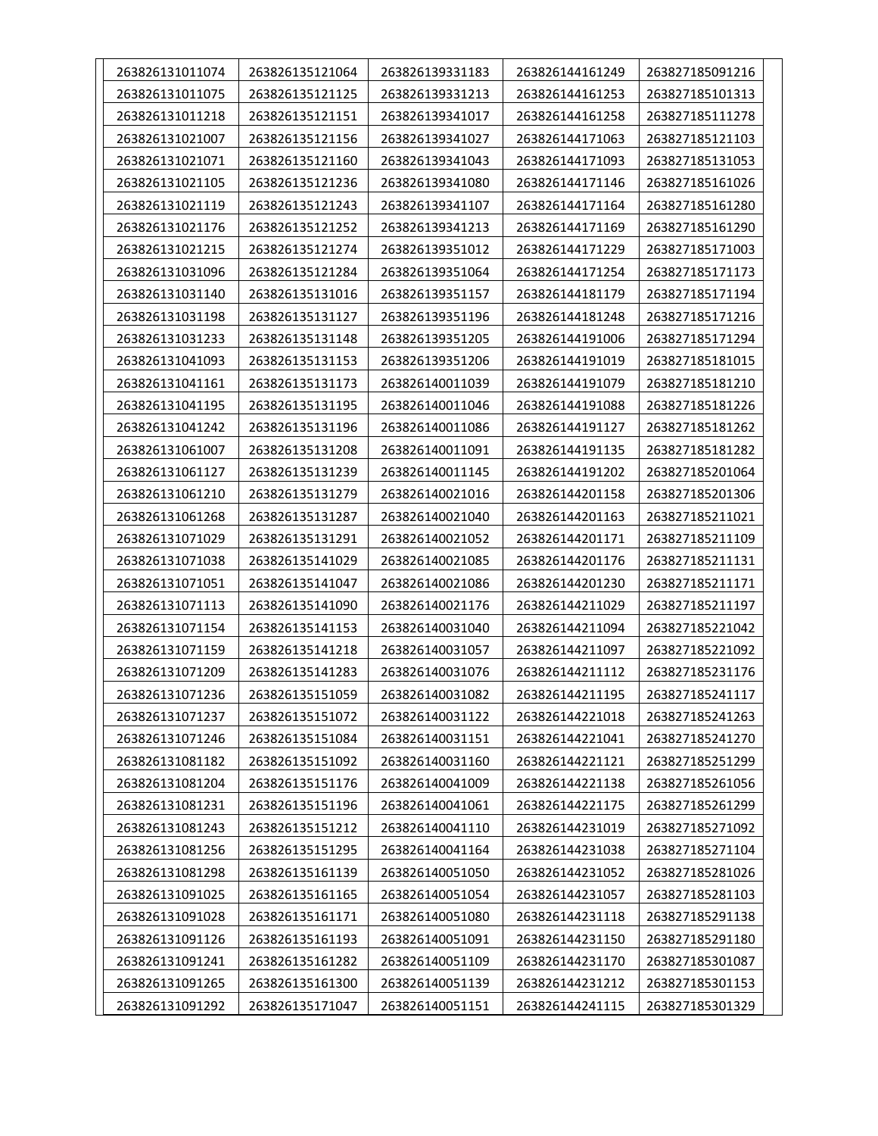| 263826131011074 | 263826135121064 | 263826139331183 | 263826144161249 | 263827185091216 |
|-----------------|-----------------|-----------------|-----------------|-----------------|
| 263826131011075 | 263826135121125 | 263826139331213 | 263826144161253 | 263827185101313 |
| 263826131011218 | 263826135121151 | 263826139341017 | 263826144161258 | 263827185111278 |
| 263826131021007 | 263826135121156 | 263826139341027 | 263826144171063 | 263827185121103 |
| 263826131021071 | 263826135121160 | 263826139341043 | 263826144171093 | 263827185131053 |
| 263826131021105 | 263826135121236 | 263826139341080 | 263826144171146 | 263827185161026 |
| 263826131021119 | 263826135121243 | 263826139341107 | 263826144171164 | 263827185161280 |
| 263826131021176 | 263826135121252 | 263826139341213 | 263826144171169 | 263827185161290 |
| 263826131021215 | 263826135121274 | 263826139351012 | 263826144171229 | 263827185171003 |
| 263826131031096 | 263826135121284 | 263826139351064 | 263826144171254 | 263827185171173 |
| 263826131031140 | 263826135131016 | 263826139351157 | 263826144181179 | 263827185171194 |
| 263826131031198 | 263826135131127 | 263826139351196 | 263826144181248 | 263827185171216 |
| 263826131031233 | 263826135131148 | 263826139351205 | 263826144191006 | 263827185171294 |
| 263826131041093 | 263826135131153 | 263826139351206 | 263826144191019 | 263827185181015 |
| 263826131041161 | 263826135131173 | 263826140011039 | 263826144191079 | 263827185181210 |
| 263826131041195 | 263826135131195 | 263826140011046 | 263826144191088 | 263827185181226 |
| 263826131041242 | 263826135131196 | 263826140011086 | 263826144191127 | 263827185181262 |
| 263826131061007 | 263826135131208 | 263826140011091 | 263826144191135 | 263827185181282 |
| 263826131061127 | 263826135131239 | 263826140011145 | 263826144191202 | 263827185201064 |
| 263826131061210 | 263826135131279 | 263826140021016 | 263826144201158 | 263827185201306 |
| 263826131061268 | 263826135131287 | 263826140021040 | 263826144201163 | 263827185211021 |
| 263826131071029 | 263826135131291 | 263826140021052 | 263826144201171 | 263827185211109 |
| 263826131071038 | 263826135141029 | 263826140021085 | 263826144201176 | 263827185211131 |
| 263826131071051 | 263826135141047 | 263826140021086 | 263826144201230 | 263827185211171 |
| 263826131071113 | 263826135141090 | 263826140021176 | 263826144211029 | 263827185211197 |
| 263826131071154 | 263826135141153 | 263826140031040 | 263826144211094 | 263827185221042 |
| 263826131071159 | 263826135141218 | 263826140031057 | 263826144211097 | 263827185221092 |
| 263826131071209 | 263826135141283 | 263826140031076 | 263826144211112 | 263827185231176 |
| 263826131071236 | 263826135151059 | 263826140031082 | 263826144211195 | 263827185241117 |
| 263826131071237 | 263826135151072 | 263826140031122 | 263826144221018 | 263827185241263 |
| 263826131071246 | 263826135151084 | 263826140031151 | 263826144221041 | 263827185241270 |
| 263826131081182 | 263826135151092 | 263826140031160 | 263826144221121 | 263827185251299 |
| 263826131081204 | 263826135151176 | 263826140041009 | 263826144221138 | 263827185261056 |
| 263826131081231 | 263826135151196 | 263826140041061 | 263826144221175 | 263827185261299 |
| 263826131081243 | 263826135151212 | 263826140041110 | 263826144231019 | 263827185271092 |
| 263826131081256 | 263826135151295 | 263826140041164 | 263826144231038 | 263827185271104 |
| 263826131081298 | 263826135161139 | 263826140051050 | 263826144231052 | 263827185281026 |
| 263826131091025 | 263826135161165 | 263826140051054 | 263826144231057 | 263827185281103 |
| 263826131091028 | 263826135161171 | 263826140051080 | 263826144231118 | 263827185291138 |
| 263826131091126 | 263826135161193 | 263826140051091 | 263826144231150 | 263827185291180 |
| 263826131091241 | 263826135161282 | 263826140051109 | 263826144231170 | 263827185301087 |
| 263826131091265 | 263826135161300 | 263826140051139 | 263826144231212 | 263827185301153 |
| 263826131091292 | 263826135171047 | 263826140051151 | 263826144241115 | 263827185301329 |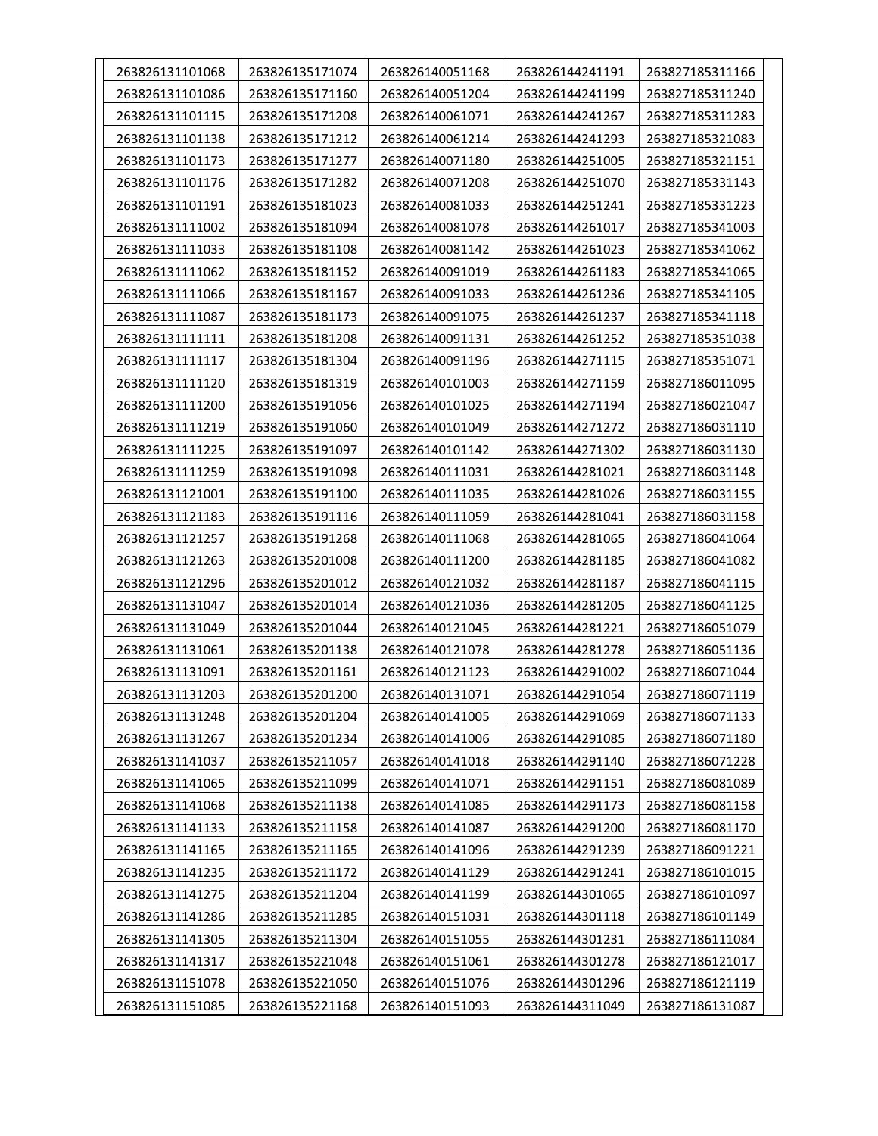| 263826131101068 | 263826135171074 | 263826140051168 | 263826144241191 | 263827185311166 |
|-----------------|-----------------|-----------------|-----------------|-----------------|
| 263826131101086 | 263826135171160 | 263826140051204 | 263826144241199 | 263827185311240 |
| 263826131101115 | 263826135171208 | 263826140061071 | 263826144241267 | 263827185311283 |
| 263826131101138 | 263826135171212 | 263826140061214 | 263826144241293 | 263827185321083 |
| 263826131101173 | 263826135171277 | 263826140071180 | 263826144251005 | 263827185321151 |
| 263826131101176 | 263826135171282 | 263826140071208 | 263826144251070 | 263827185331143 |
| 263826131101191 | 263826135181023 | 263826140081033 | 263826144251241 | 263827185331223 |
| 263826131111002 | 263826135181094 | 263826140081078 | 263826144261017 | 263827185341003 |
| 263826131111033 | 263826135181108 | 263826140081142 | 263826144261023 | 263827185341062 |
| 263826131111062 | 263826135181152 | 263826140091019 | 263826144261183 | 263827185341065 |
| 263826131111066 | 263826135181167 | 263826140091033 | 263826144261236 | 263827185341105 |
| 263826131111087 | 263826135181173 | 263826140091075 | 263826144261237 | 263827185341118 |
| 263826131111111 | 263826135181208 | 263826140091131 | 263826144261252 | 263827185351038 |
| 263826131111117 | 263826135181304 | 263826140091196 | 263826144271115 | 263827185351071 |
| 263826131111120 | 263826135181319 | 263826140101003 | 263826144271159 | 263827186011095 |
| 263826131111200 | 263826135191056 | 263826140101025 | 263826144271194 | 263827186021047 |
| 263826131111219 | 263826135191060 | 263826140101049 | 263826144271272 | 263827186031110 |
| 263826131111225 | 263826135191097 | 263826140101142 | 263826144271302 | 263827186031130 |
| 263826131111259 | 263826135191098 | 263826140111031 | 263826144281021 | 263827186031148 |
| 263826131121001 | 263826135191100 | 263826140111035 | 263826144281026 | 263827186031155 |
| 263826131121183 | 263826135191116 | 263826140111059 | 263826144281041 | 263827186031158 |
| 263826131121257 | 263826135191268 | 263826140111068 | 263826144281065 | 263827186041064 |
| 263826131121263 | 263826135201008 | 263826140111200 | 263826144281185 | 263827186041082 |
| 263826131121296 | 263826135201012 | 263826140121032 | 263826144281187 | 263827186041115 |
| 263826131131047 | 263826135201014 | 263826140121036 | 263826144281205 | 263827186041125 |
| 263826131131049 | 263826135201044 | 263826140121045 | 263826144281221 | 263827186051079 |
| 263826131131061 | 263826135201138 | 263826140121078 | 263826144281278 | 263827186051136 |
| 263826131131091 | 263826135201161 | 263826140121123 | 263826144291002 | 263827186071044 |
| 263826131131203 | 263826135201200 | 263826140131071 | 263826144291054 | 263827186071119 |
| 263826131131248 | 263826135201204 | 263826140141005 | 263826144291069 | 263827186071133 |
| 263826131131267 | 263826135201234 | 263826140141006 | 263826144291085 | 263827186071180 |
| 263826131141037 | 263826135211057 | 263826140141018 | 263826144291140 | 263827186071228 |
| 263826131141065 | 263826135211099 | 263826140141071 | 263826144291151 | 263827186081089 |
| 263826131141068 | 263826135211138 | 263826140141085 | 263826144291173 | 263827186081158 |
| 263826131141133 | 263826135211158 | 263826140141087 | 263826144291200 | 263827186081170 |
| 263826131141165 | 263826135211165 | 263826140141096 | 263826144291239 | 263827186091221 |
| 263826131141235 | 263826135211172 | 263826140141129 | 263826144291241 | 263827186101015 |
| 263826131141275 | 263826135211204 | 263826140141199 | 263826144301065 | 263827186101097 |
| 263826131141286 | 263826135211285 | 263826140151031 | 263826144301118 | 263827186101149 |
| 263826131141305 | 263826135211304 | 263826140151055 | 263826144301231 | 263827186111084 |
| 263826131141317 | 263826135221048 | 263826140151061 | 263826144301278 | 263827186121017 |
| 263826131151078 | 263826135221050 | 263826140151076 | 263826144301296 | 263827186121119 |
| 263826131151085 | 263826135221168 | 263826140151093 | 263826144311049 | 263827186131087 |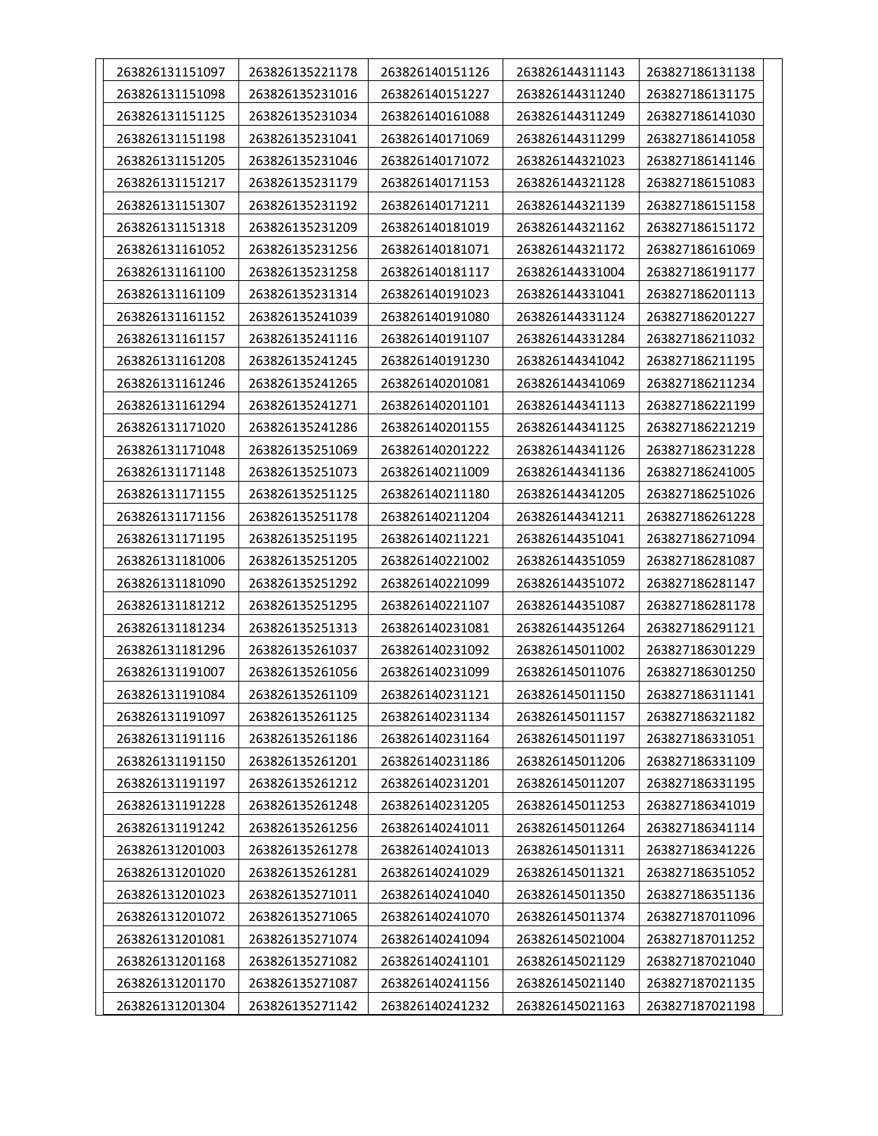| 263826131151097 | 263826135221178 | 263826140151126 | 263826144311143 | 263827186131138 |
|-----------------|-----------------|-----------------|-----------------|-----------------|
| 263826131151098 | 263826135231016 | 263826140151227 | 263826144311240 | 263827186131175 |
| 263826131151125 | 263826135231034 | 263826140161088 | 263826144311249 | 263827186141030 |
| 263826131151198 | 263826135231041 | 263826140171069 | 263826144311299 | 263827186141058 |
| 263826131151205 | 263826135231046 | 263826140171072 | 263826144321023 | 263827186141146 |
| 263826131151217 | 263826135231179 | 263826140171153 | 263826144321128 | 263827186151083 |
| 263826131151307 | 263826135231192 | 263826140171211 | 263826144321139 | 263827186151158 |
| 263826131151318 | 263826135231209 | 263826140181019 | 263826144321162 | 263827186151172 |
| 263826131161052 | 263826135231256 | 263826140181071 | 263826144321172 | 263827186161069 |
| 263826131161100 | 263826135231258 | 263826140181117 | 263826144331004 | 263827186191177 |
| 263826131161109 | 263826135231314 | 263826140191023 | 263826144331041 | 263827186201113 |
| 263826131161152 | 263826135241039 | 263826140191080 | 263826144331124 | 263827186201227 |
| 263826131161157 | 263826135241116 | 263826140191107 | 263826144331284 | 263827186211032 |
| 263826131161208 | 263826135241245 | 263826140191230 | 263826144341042 | 263827186211195 |
| 263826131161246 | 263826135241265 | 263826140201081 | 263826144341069 | 263827186211234 |
| 263826131161294 | 263826135241271 | 263826140201101 | 263826144341113 | 263827186221199 |
| 263826131171020 | 263826135241286 | 263826140201155 | 263826144341125 | 263827186221219 |
| 263826131171048 | 263826135251069 | 263826140201222 | 263826144341126 | 263827186231228 |
| 263826131171148 | 263826135251073 | 263826140211009 | 263826144341136 | 263827186241005 |
| 263826131171155 | 263826135251125 | 263826140211180 | 263826144341205 | 263827186251026 |
| 263826131171156 | 263826135251178 | 263826140211204 | 263826144341211 | 263827186261228 |
| 263826131171195 | 263826135251195 | 263826140211221 | 263826144351041 | 263827186271094 |
| 263826131181006 | 263826135251205 | 263826140221002 | 263826144351059 | 263827186281087 |
| 263826131181090 | 263826135251292 | 263826140221099 | 263826144351072 | 263827186281147 |
| 263826131181212 | 263826135251295 | 263826140221107 | 263826144351087 | 263827186281178 |
| 263826131181234 | 263826135251313 | 263826140231081 | 263826144351264 | 263827186291121 |
| 263826131181296 | 263826135261037 | 263826140231092 | 263826145011002 | 263827186301229 |
| 263826131191007 | 263826135261056 | 263826140231099 | 263826145011076 | 263827186301250 |
| 263826131191084 | 263826135261109 | 263826140231121 | 263826145011150 | 263827186311141 |
| 263826131191097 | 263826135261125 | 263826140231134 | 263826145011157 | 263827186321182 |
| 263826131191116 | 263826135261186 | 263826140231164 | 263826145011197 | 263827186331051 |
| 263826131191150 | 263826135261201 | 263826140231186 | 263826145011206 | 263827186331109 |
| 263826131191197 | 263826135261212 | 263826140231201 | 263826145011207 | 263827186331195 |
| 263826131191228 | 263826135261248 | 263826140231205 | 263826145011253 | 263827186341019 |
| 263826131191242 | 263826135261256 | 263826140241011 | 263826145011264 | 263827186341114 |
| 263826131201003 | 263826135261278 | 263826140241013 | 263826145011311 | 263827186341226 |
| 263826131201020 | 263826135261281 | 263826140241029 | 263826145011321 | 263827186351052 |
| 263826131201023 | 263826135271011 | 263826140241040 | 263826145011350 | 263827186351136 |
| 263826131201072 | 263826135271065 | 263826140241070 | 263826145011374 | 263827187011096 |
| 263826131201081 | 263826135271074 | 263826140241094 | 263826145021004 | 263827187011252 |
| 263826131201168 | 263826135271082 | 263826140241101 | 263826145021129 | 263827187021040 |
| 263826131201170 | 263826135271087 | 263826140241156 | 263826145021140 | 263827187021135 |
| 263826131201304 | 263826135271142 | 263826140241232 | 263826145021163 | 263827187021198 |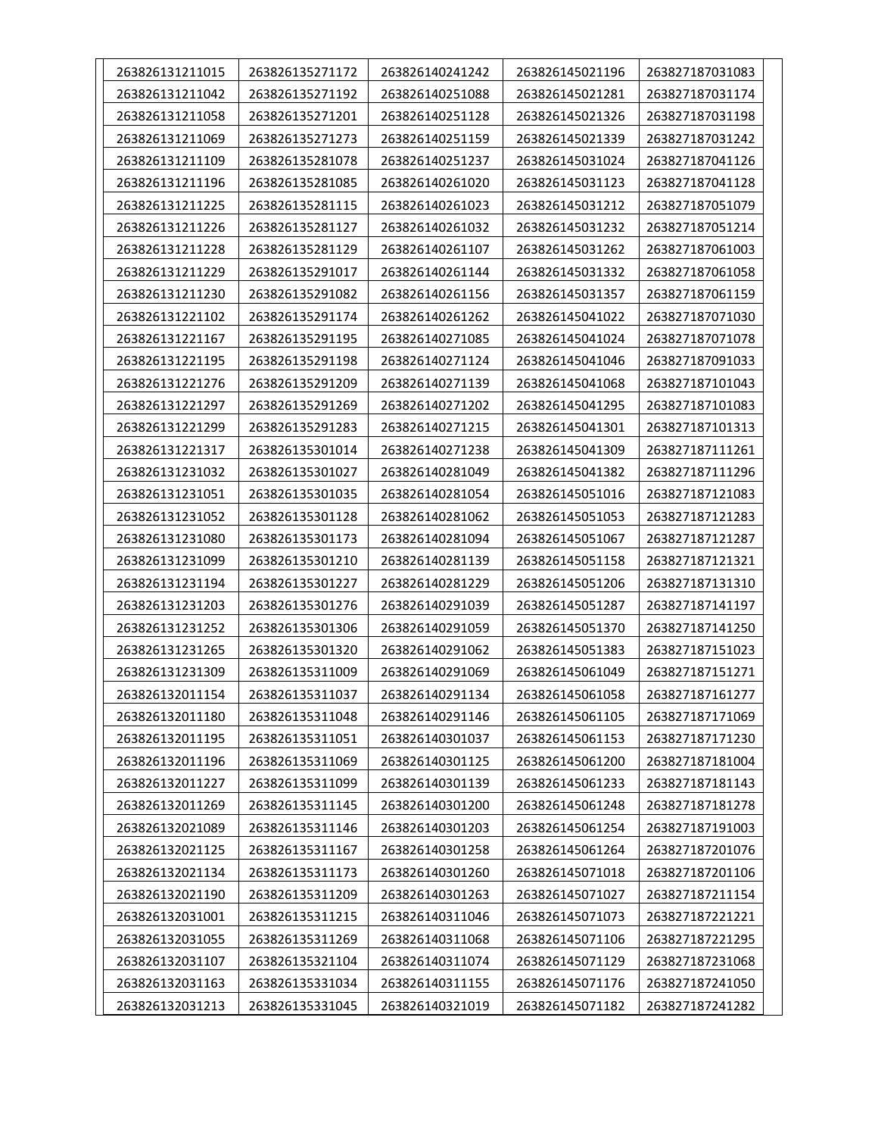| 263826131211015 | 263826135271172 | 263826140241242 | 263826145021196 | 263827187031083 |
|-----------------|-----------------|-----------------|-----------------|-----------------|
| 263826131211042 | 263826135271192 | 263826140251088 | 263826145021281 | 263827187031174 |
| 263826131211058 | 263826135271201 | 263826140251128 | 263826145021326 | 263827187031198 |
| 263826131211069 | 263826135271273 | 263826140251159 | 263826145021339 | 263827187031242 |
| 263826131211109 | 263826135281078 | 263826140251237 | 263826145031024 | 263827187041126 |
| 263826131211196 | 263826135281085 | 263826140261020 | 263826145031123 | 263827187041128 |
| 263826131211225 | 263826135281115 | 263826140261023 | 263826145031212 | 263827187051079 |
| 263826131211226 | 263826135281127 | 263826140261032 | 263826145031232 | 263827187051214 |
| 263826131211228 | 263826135281129 | 263826140261107 | 263826145031262 | 263827187061003 |
| 263826131211229 | 263826135291017 | 263826140261144 | 263826145031332 | 263827187061058 |
| 263826131211230 | 263826135291082 | 263826140261156 | 263826145031357 | 263827187061159 |
| 263826131221102 | 263826135291174 | 263826140261262 | 263826145041022 | 263827187071030 |
| 263826131221167 | 263826135291195 | 263826140271085 | 263826145041024 | 263827187071078 |
| 263826131221195 | 263826135291198 | 263826140271124 | 263826145041046 | 263827187091033 |
| 263826131221276 | 263826135291209 | 263826140271139 | 263826145041068 | 263827187101043 |
| 263826131221297 | 263826135291269 | 263826140271202 | 263826145041295 | 263827187101083 |
| 263826131221299 | 263826135291283 | 263826140271215 | 263826145041301 | 263827187101313 |
| 263826131221317 | 263826135301014 | 263826140271238 | 263826145041309 | 263827187111261 |
| 263826131231032 | 263826135301027 | 263826140281049 | 263826145041382 | 263827187111296 |
| 263826131231051 | 263826135301035 | 263826140281054 | 263826145051016 | 263827187121083 |
| 263826131231052 | 263826135301128 | 263826140281062 | 263826145051053 | 263827187121283 |
| 263826131231080 | 263826135301173 | 263826140281094 | 263826145051067 | 263827187121287 |
| 263826131231099 | 263826135301210 | 263826140281139 | 263826145051158 | 263827187121321 |
| 263826131231194 | 263826135301227 | 263826140281229 | 263826145051206 | 263827187131310 |
| 263826131231203 | 263826135301276 | 263826140291039 | 263826145051287 | 263827187141197 |
| 263826131231252 | 263826135301306 | 263826140291059 | 263826145051370 | 263827187141250 |
| 263826131231265 | 263826135301320 | 263826140291062 | 263826145051383 | 263827187151023 |
| 263826131231309 | 263826135311009 | 263826140291069 | 263826145061049 | 263827187151271 |
| 263826132011154 | 263826135311037 | 263826140291134 | 263826145061058 | 263827187161277 |
| 263826132011180 | 263826135311048 | 263826140291146 | 263826145061105 | 263827187171069 |
| 263826132011195 | 263826135311051 | 263826140301037 | 263826145061153 | 263827187171230 |
| 263826132011196 | 263826135311069 | 263826140301125 | 263826145061200 | 263827187181004 |
| 263826132011227 | 263826135311099 | 263826140301139 | 263826145061233 | 263827187181143 |
| 263826132011269 | 263826135311145 | 263826140301200 | 263826145061248 | 263827187181278 |
| 263826132021089 | 263826135311146 | 263826140301203 | 263826145061254 | 263827187191003 |
| 263826132021125 | 263826135311167 | 263826140301258 | 263826145061264 | 263827187201076 |
| 263826132021134 | 263826135311173 | 263826140301260 | 263826145071018 | 263827187201106 |
| 263826132021190 | 263826135311209 | 263826140301263 | 263826145071027 | 263827187211154 |
| 263826132031001 | 263826135311215 | 263826140311046 | 263826145071073 | 263827187221221 |
| 263826132031055 | 263826135311269 | 263826140311068 | 263826145071106 | 263827187221295 |
| 263826132031107 | 263826135321104 | 263826140311074 | 263826145071129 | 263827187231068 |
| 263826132031163 | 263826135331034 | 263826140311155 | 263826145071176 | 263827187241050 |
| 263826132031213 | 263826135331045 | 263826140321019 | 263826145071182 | 263827187241282 |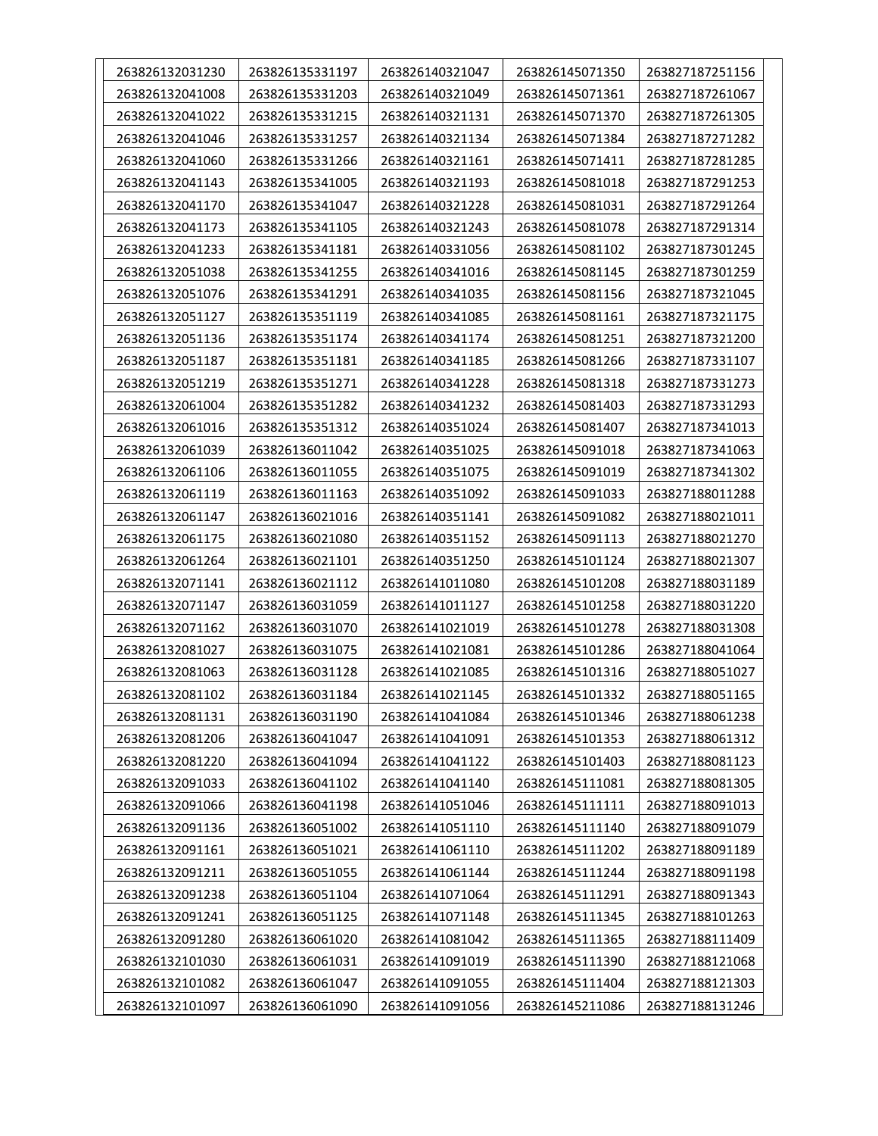| 263826132031230 | 263826135331197 | 263826140321047 | 263826145071350 | 263827187251156 |
|-----------------|-----------------|-----------------|-----------------|-----------------|
| 263826132041008 | 263826135331203 | 263826140321049 | 263826145071361 | 263827187261067 |
| 263826132041022 | 263826135331215 | 263826140321131 | 263826145071370 | 263827187261305 |
| 263826132041046 | 263826135331257 | 263826140321134 | 263826145071384 | 263827187271282 |
| 263826132041060 | 263826135331266 | 263826140321161 | 263826145071411 | 263827187281285 |
| 263826132041143 | 263826135341005 | 263826140321193 | 263826145081018 | 263827187291253 |
| 263826132041170 | 263826135341047 | 263826140321228 | 263826145081031 | 263827187291264 |
| 263826132041173 | 263826135341105 | 263826140321243 | 263826145081078 | 263827187291314 |
| 263826132041233 | 263826135341181 | 263826140331056 | 263826145081102 | 263827187301245 |
| 263826132051038 | 263826135341255 | 263826140341016 | 263826145081145 | 263827187301259 |
| 263826132051076 | 263826135341291 | 263826140341035 | 263826145081156 | 263827187321045 |
| 263826132051127 | 263826135351119 | 263826140341085 | 263826145081161 | 263827187321175 |
| 263826132051136 | 263826135351174 | 263826140341174 | 263826145081251 | 263827187321200 |
| 263826132051187 | 263826135351181 | 263826140341185 | 263826145081266 | 263827187331107 |
| 263826132051219 | 263826135351271 | 263826140341228 | 263826145081318 | 263827187331273 |
| 263826132061004 | 263826135351282 | 263826140341232 | 263826145081403 | 263827187331293 |
| 263826132061016 | 263826135351312 | 263826140351024 | 263826145081407 | 263827187341013 |
| 263826132061039 | 263826136011042 | 263826140351025 | 263826145091018 | 263827187341063 |
| 263826132061106 | 263826136011055 | 263826140351075 | 263826145091019 | 263827187341302 |
| 263826132061119 | 263826136011163 | 263826140351092 | 263826145091033 | 263827188011288 |
| 263826132061147 | 263826136021016 | 263826140351141 | 263826145091082 | 263827188021011 |
| 263826132061175 | 263826136021080 | 263826140351152 | 263826145091113 | 263827188021270 |
| 263826132061264 | 263826136021101 | 263826140351250 | 263826145101124 | 263827188021307 |
| 263826132071141 | 263826136021112 | 263826141011080 | 263826145101208 | 263827188031189 |
| 263826132071147 | 263826136031059 | 263826141011127 | 263826145101258 | 263827188031220 |
| 263826132071162 | 263826136031070 | 263826141021019 | 263826145101278 | 263827188031308 |
| 263826132081027 | 263826136031075 | 263826141021081 | 263826145101286 | 263827188041064 |
| 263826132081063 | 263826136031128 | 263826141021085 | 263826145101316 | 263827188051027 |
| 263826132081102 | 263826136031184 | 263826141021145 | 263826145101332 | 263827188051165 |
| 263826132081131 | 263826136031190 | 263826141041084 | 263826145101346 | 263827188061238 |
| 263826132081206 | 263826136041047 | 263826141041091 | 263826145101353 | 263827188061312 |
| 263826132081220 | 263826136041094 | 263826141041122 | 263826145101403 | 263827188081123 |
| 263826132091033 | 263826136041102 | 263826141041140 | 263826145111081 | 263827188081305 |
| 263826132091066 | 263826136041198 | 263826141051046 | 263826145111111 | 263827188091013 |
| 263826132091136 | 263826136051002 | 263826141051110 | 263826145111140 | 263827188091079 |
| 263826132091161 | 263826136051021 | 263826141061110 | 263826145111202 | 263827188091189 |
| 263826132091211 | 263826136051055 | 263826141061144 | 263826145111244 | 263827188091198 |
| 263826132091238 | 263826136051104 | 263826141071064 | 263826145111291 | 263827188091343 |
| 263826132091241 | 263826136051125 | 263826141071148 | 263826145111345 | 263827188101263 |
| 263826132091280 | 263826136061020 | 263826141081042 | 263826145111365 | 263827188111409 |
| 263826132101030 | 263826136061031 | 263826141091019 | 263826145111390 | 263827188121068 |
| 263826132101082 | 263826136061047 | 263826141091055 | 263826145111404 | 263827188121303 |
| 263826132101097 | 263826136061090 | 263826141091056 | 263826145211086 | 263827188131246 |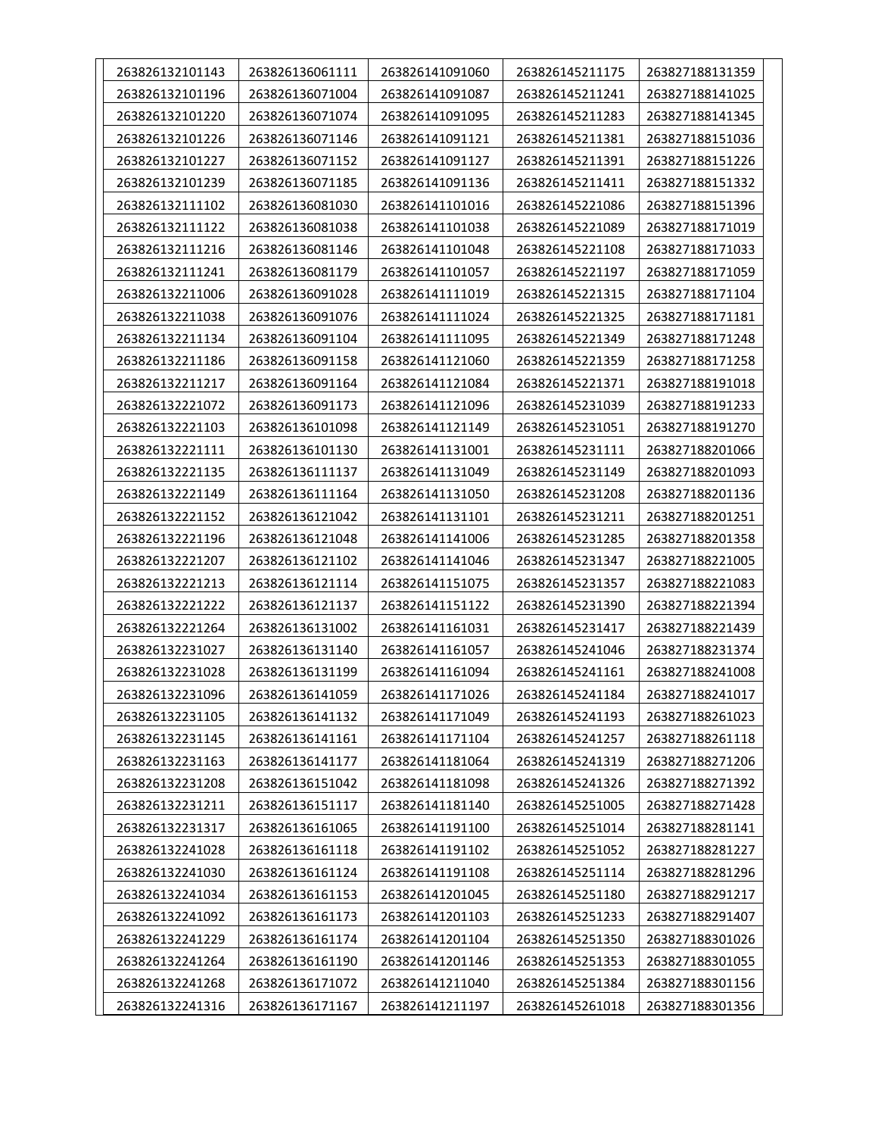| 263826132101143 | 263826136061111 | 263826141091060 | 263826145211175 | 263827188131359 |
|-----------------|-----------------|-----------------|-----------------|-----------------|
| 263826132101196 | 263826136071004 | 263826141091087 | 263826145211241 | 263827188141025 |
| 263826132101220 | 263826136071074 | 263826141091095 | 263826145211283 | 263827188141345 |
| 263826132101226 | 263826136071146 | 263826141091121 | 263826145211381 | 263827188151036 |
| 263826132101227 | 263826136071152 | 263826141091127 | 263826145211391 | 263827188151226 |
| 263826132101239 | 263826136071185 | 263826141091136 | 263826145211411 | 263827188151332 |
| 263826132111102 | 263826136081030 | 263826141101016 | 263826145221086 | 263827188151396 |
| 263826132111122 | 263826136081038 | 263826141101038 | 263826145221089 | 263827188171019 |
| 263826132111216 | 263826136081146 | 263826141101048 | 263826145221108 | 263827188171033 |
| 263826132111241 | 263826136081179 | 263826141101057 | 263826145221197 | 263827188171059 |
| 263826132211006 | 263826136091028 | 263826141111019 | 263826145221315 | 263827188171104 |
| 263826132211038 | 263826136091076 | 263826141111024 | 263826145221325 | 263827188171181 |
| 263826132211134 | 263826136091104 | 263826141111095 | 263826145221349 | 263827188171248 |
| 263826132211186 | 263826136091158 | 263826141121060 | 263826145221359 | 263827188171258 |
| 263826132211217 | 263826136091164 | 263826141121084 | 263826145221371 | 263827188191018 |
| 263826132221072 | 263826136091173 | 263826141121096 | 263826145231039 | 263827188191233 |
| 263826132221103 | 263826136101098 | 263826141121149 | 263826145231051 | 263827188191270 |
| 263826132221111 | 263826136101130 | 263826141131001 | 263826145231111 | 263827188201066 |
| 263826132221135 | 263826136111137 | 263826141131049 | 263826145231149 | 263827188201093 |
| 263826132221149 | 263826136111164 | 263826141131050 | 263826145231208 | 263827188201136 |
| 263826132221152 | 263826136121042 | 263826141131101 | 263826145231211 | 263827188201251 |
| 263826132221196 | 263826136121048 | 263826141141006 | 263826145231285 | 263827188201358 |
| 263826132221207 | 263826136121102 | 263826141141046 | 263826145231347 | 263827188221005 |
| 263826132221213 | 263826136121114 | 263826141151075 | 263826145231357 | 263827188221083 |
| 263826132221222 | 263826136121137 | 263826141151122 | 263826145231390 | 263827188221394 |
| 263826132221264 | 263826136131002 | 263826141161031 | 263826145231417 | 263827188221439 |
| 263826132231027 | 263826136131140 | 263826141161057 | 263826145241046 | 263827188231374 |
| 263826132231028 | 263826136131199 | 263826141161094 | 263826145241161 | 263827188241008 |
| 263826132231096 | 263826136141059 | 263826141171026 | 263826145241184 | 263827188241017 |
| 263826132231105 | 263826136141132 | 263826141171049 | 263826145241193 | 263827188261023 |
| 263826132231145 | 263826136141161 | 263826141171104 | 263826145241257 | 263827188261118 |
| 263826132231163 | 263826136141177 | 263826141181064 | 263826145241319 | 263827188271206 |
| 263826132231208 | 263826136151042 | 263826141181098 | 263826145241326 | 263827188271392 |
| 263826132231211 | 263826136151117 | 263826141181140 | 263826145251005 | 263827188271428 |
| 263826132231317 | 263826136161065 | 263826141191100 | 263826145251014 | 263827188281141 |
| 263826132241028 | 263826136161118 | 263826141191102 | 263826145251052 | 263827188281227 |
| 263826132241030 | 263826136161124 | 263826141191108 | 263826145251114 | 263827188281296 |
| 263826132241034 | 263826136161153 | 263826141201045 | 263826145251180 | 263827188291217 |
| 263826132241092 | 263826136161173 | 263826141201103 | 263826145251233 | 263827188291407 |
| 263826132241229 | 263826136161174 | 263826141201104 | 263826145251350 | 263827188301026 |
| 263826132241264 | 263826136161190 | 263826141201146 | 263826145251353 | 263827188301055 |
| 263826132241268 | 263826136171072 | 263826141211040 | 263826145251384 | 263827188301156 |
| 263826132241316 | 263826136171167 | 263826141211197 | 263826145261018 | 263827188301356 |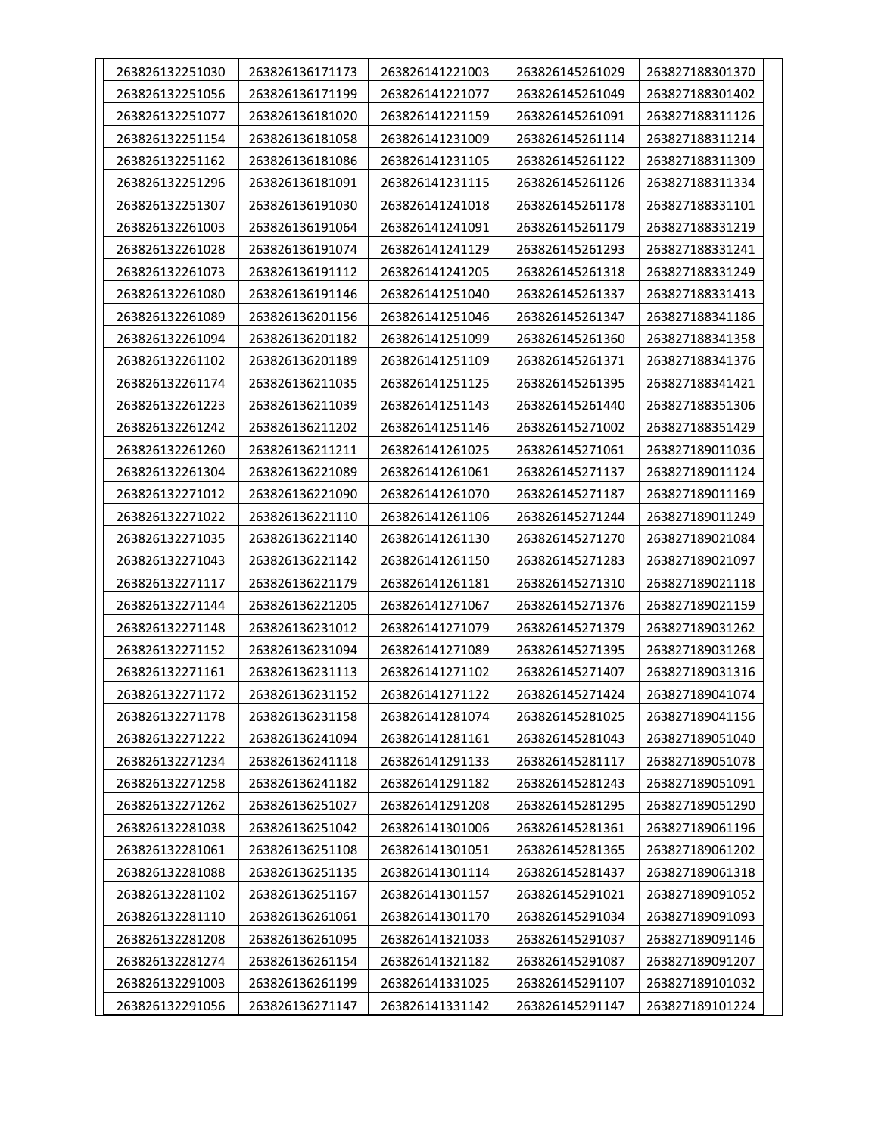| 263826132251030 | 263826136171173 | 263826141221003 | 263826145261029 | 263827188301370 |
|-----------------|-----------------|-----------------|-----------------|-----------------|
| 263826132251056 | 263826136171199 | 263826141221077 | 263826145261049 | 263827188301402 |
| 263826132251077 | 263826136181020 | 263826141221159 | 263826145261091 | 263827188311126 |
| 263826132251154 | 263826136181058 | 263826141231009 | 263826145261114 | 263827188311214 |
| 263826132251162 | 263826136181086 | 263826141231105 | 263826145261122 | 263827188311309 |
| 263826132251296 | 263826136181091 | 263826141231115 | 263826145261126 | 263827188311334 |
| 263826132251307 | 263826136191030 | 263826141241018 | 263826145261178 | 263827188331101 |
| 263826132261003 | 263826136191064 | 263826141241091 | 263826145261179 | 263827188331219 |
| 263826132261028 | 263826136191074 | 263826141241129 | 263826145261293 | 263827188331241 |
| 263826132261073 | 263826136191112 | 263826141241205 | 263826145261318 | 263827188331249 |
| 263826132261080 | 263826136191146 | 263826141251040 | 263826145261337 | 263827188331413 |
| 263826132261089 | 263826136201156 | 263826141251046 | 263826145261347 | 263827188341186 |
| 263826132261094 | 263826136201182 | 263826141251099 | 263826145261360 | 263827188341358 |
| 263826132261102 | 263826136201189 | 263826141251109 | 263826145261371 | 263827188341376 |
| 263826132261174 | 263826136211035 | 263826141251125 | 263826145261395 | 263827188341421 |
| 263826132261223 | 263826136211039 | 263826141251143 | 263826145261440 | 263827188351306 |
| 263826132261242 | 263826136211202 | 263826141251146 | 263826145271002 | 263827188351429 |
| 263826132261260 | 263826136211211 | 263826141261025 | 263826145271061 | 263827189011036 |
| 263826132261304 | 263826136221089 | 263826141261061 | 263826145271137 | 263827189011124 |
| 263826132271012 | 263826136221090 | 263826141261070 | 263826145271187 | 263827189011169 |
| 263826132271022 | 263826136221110 | 263826141261106 | 263826145271244 | 263827189011249 |
| 263826132271035 | 263826136221140 | 263826141261130 | 263826145271270 | 263827189021084 |
| 263826132271043 | 263826136221142 | 263826141261150 | 263826145271283 | 263827189021097 |
| 263826132271117 | 263826136221179 | 263826141261181 | 263826145271310 | 263827189021118 |
| 263826132271144 | 263826136221205 | 263826141271067 | 263826145271376 | 263827189021159 |
| 263826132271148 | 263826136231012 | 263826141271079 | 263826145271379 | 263827189031262 |
| 263826132271152 | 263826136231094 | 263826141271089 | 263826145271395 | 263827189031268 |
| 263826132271161 | 263826136231113 | 263826141271102 | 263826145271407 | 263827189031316 |
| 263826132271172 | 263826136231152 | 263826141271122 | 263826145271424 | 263827189041074 |
| 263826132271178 | 263826136231158 | 263826141281074 | 263826145281025 | 263827189041156 |
| 263826132271222 | 263826136241094 | 263826141281161 | 263826145281043 | 263827189051040 |
| 263826132271234 | 263826136241118 | 263826141291133 | 263826145281117 | 263827189051078 |
| 263826132271258 | 263826136241182 | 263826141291182 | 263826145281243 | 263827189051091 |
| 263826132271262 | 263826136251027 | 263826141291208 | 263826145281295 | 263827189051290 |
| 263826132281038 | 263826136251042 | 263826141301006 | 263826145281361 | 263827189061196 |
| 263826132281061 | 263826136251108 | 263826141301051 | 263826145281365 | 263827189061202 |
| 263826132281088 | 263826136251135 | 263826141301114 | 263826145281437 | 263827189061318 |
| 263826132281102 | 263826136251167 | 263826141301157 | 263826145291021 | 263827189091052 |
| 263826132281110 | 263826136261061 | 263826141301170 | 263826145291034 | 263827189091093 |
| 263826132281208 | 263826136261095 | 263826141321033 | 263826145291037 | 263827189091146 |
| 263826132281274 | 263826136261154 | 263826141321182 | 263826145291087 | 263827189091207 |
| 263826132291003 | 263826136261199 | 263826141331025 | 263826145291107 | 263827189101032 |
| 263826132291056 | 263826136271147 | 263826141331142 | 263826145291147 | 263827189101224 |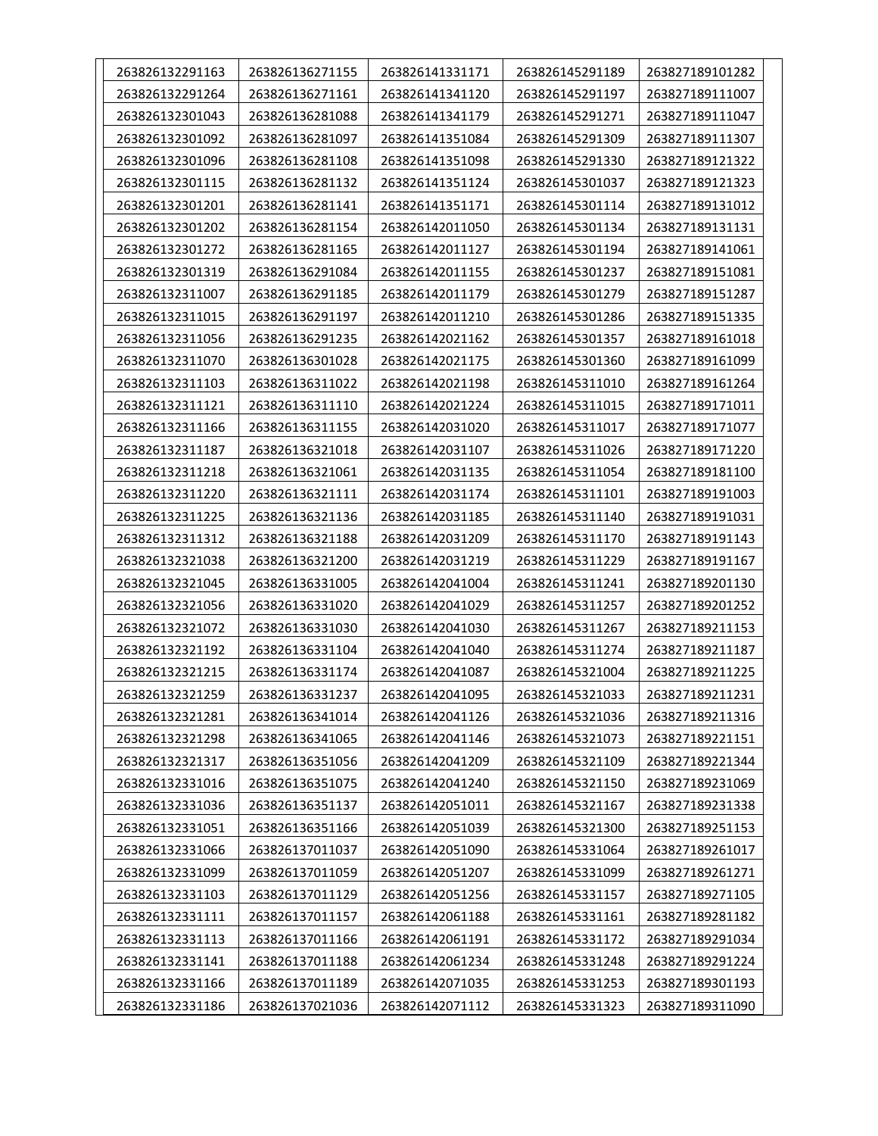| 263826132291163 | 263826136271155 | 263826141331171 | 263826145291189 | 263827189101282 |
|-----------------|-----------------|-----------------|-----------------|-----------------|
| 263826132291264 | 263826136271161 | 263826141341120 | 263826145291197 | 263827189111007 |
| 263826132301043 | 263826136281088 | 263826141341179 | 263826145291271 | 263827189111047 |
| 263826132301092 | 263826136281097 | 263826141351084 | 263826145291309 | 263827189111307 |
| 263826132301096 | 263826136281108 | 263826141351098 | 263826145291330 | 263827189121322 |
| 263826132301115 | 263826136281132 | 263826141351124 | 263826145301037 | 263827189121323 |
| 263826132301201 | 263826136281141 | 263826141351171 | 263826145301114 | 263827189131012 |
| 263826132301202 | 263826136281154 | 263826142011050 | 263826145301134 | 263827189131131 |
| 263826132301272 | 263826136281165 | 263826142011127 | 263826145301194 | 263827189141061 |
| 263826132301319 | 263826136291084 | 263826142011155 | 263826145301237 | 263827189151081 |
| 263826132311007 | 263826136291185 | 263826142011179 | 263826145301279 | 263827189151287 |
| 263826132311015 | 263826136291197 | 263826142011210 | 263826145301286 | 263827189151335 |
| 263826132311056 | 263826136291235 | 263826142021162 | 263826145301357 | 263827189161018 |
| 263826132311070 | 263826136301028 | 263826142021175 | 263826145301360 | 263827189161099 |
| 263826132311103 | 263826136311022 | 263826142021198 | 263826145311010 | 263827189161264 |
| 263826132311121 | 263826136311110 | 263826142021224 | 263826145311015 | 263827189171011 |
| 263826132311166 | 263826136311155 | 263826142031020 | 263826145311017 | 263827189171077 |
| 263826132311187 | 263826136321018 | 263826142031107 | 263826145311026 | 263827189171220 |
| 263826132311218 | 263826136321061 | 263826142031135 | 263826145311054 | 263827189181100 |
| 263826132311220 | 263826136321111 | 263826142031174 | 263826145311101 | 263827189191003 |
| 263826132311225 | 263826136321136 | 263826142031185 | 263826145311140 | 263827189191031 |
| 263826132311312 | 263826136321188 | 263826142031209 | 263826145311170 | 263827189191143 |
| 263826132321038 | 263826136321200 | 263826142031219 | 263826145311229 | 263827189191167 |
| 263826132321045 | 263826136331005 | 263826142041004 | 263826145311241 | 263827189201130 |
| 263826132321056 | 263826136331020 | 263826142041029 | 263826145311257 | 263827189201252 |
| 263826132321072 | 263826136331030 | 263826142041030 | 263826145311267 | 263827189211153 |
| 263826132321192 | 263826136331104 | 263826142041040 | 263826145311274 | 263827189211187 |
| 263826132321215 | 263826136331174 | 263826142041087 | 263826145321004 | 263827189211225 |
| 263826132321259 | 263826136331237 | 263826142041095 | 263826145321033 | 263827189211231 |
| 263826132321281 | 263826136341014 | 263826142041126 | 263826145321036 | 263827189211316 |
| 263826132321298 | 263826136341065 | 263826142041146 | 263826145321073 | 263827189221151 |
| 263826132321317 | 263826136351056 | 263826142041209 | 263826145321109 | 263827189221344 |
| 263826132331016 | 263826136351075 | 263826142041240 | 263826145321150 | 263827189231069 |
| 263826132331036 | 263826136351137 | 263826142051011 | 263826145321167 | 263827189231338 |
| 263826132331051 | 263826136351166 | 263826142051039 | 263826145321300 | 263827189251153 |
| 263826132331066 | 263826137011037 | 263826142051090 | 263826145331064 | 263827189261017 |
| 263826132331099 | 263826137011059 | 263826142051207 | 263826145331099 | 263827189261271 |
| 263826132331103 | 263826137011129 | 263826142051256 | 263826145331157 | 263827189271105 |
| 263826132331111 | 263826137011157 | 263826142061188 | 263826145331161 | 263827189281182 |
| 263826132331113 | 263826137011166 | 263826142061191 | 263826145331172 | 263827189291034 |
| 263826132331141 | 263826137011188 | 263826142061234 | 263826145331248 | 263827189291224 |
| 263826132331166 | 263826137011189 | 263826142071035 | 263826145331253 | 263827189301193 |
| 263826132331186 | 263826137021036 | 263826142071112 | 263826145331323 | 263827189311090 |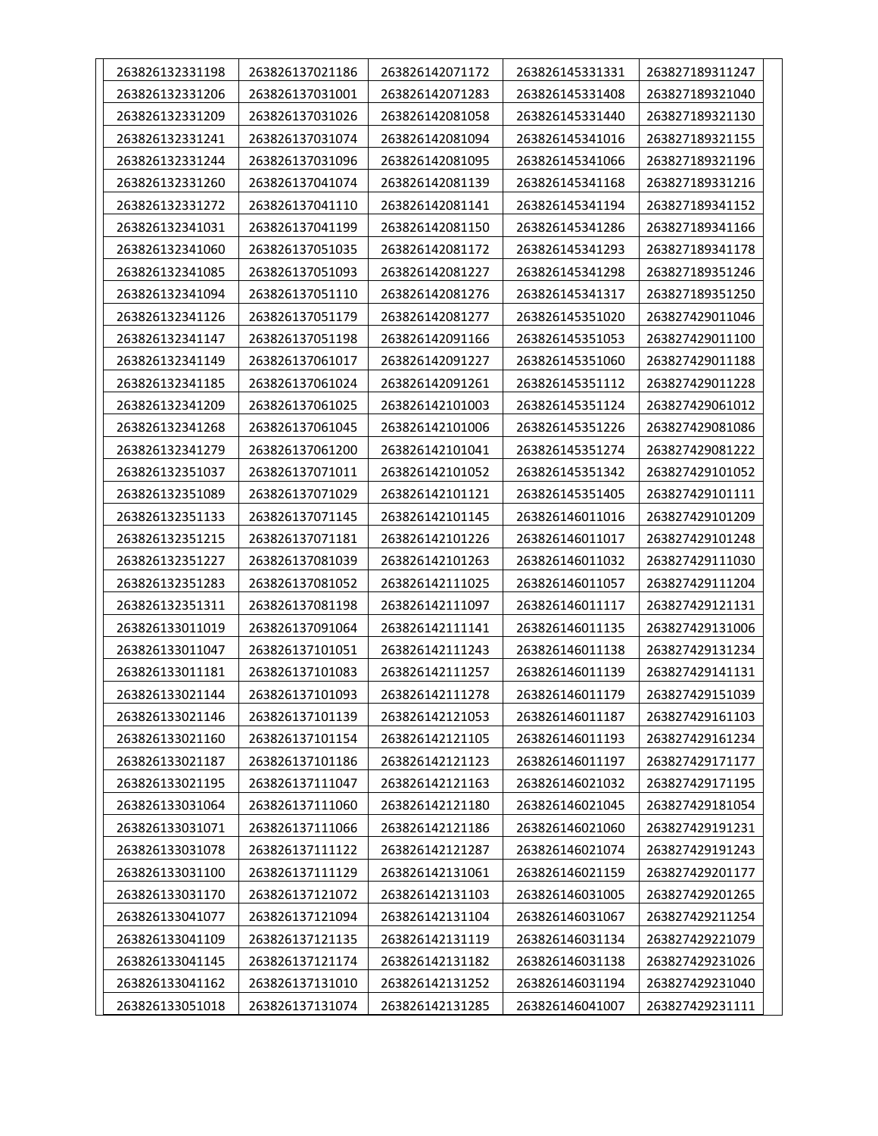| 263826132331198 | 263826137021186 | 263826142071172 | 263826145331331 | 263827189311247 |
|-----------------|-----------------|-----------------|-----------------|-----------------|
| 263826132331206 | 263826137031001 | 263826142071283 | 263826145331408 | 263827189321040 |
| 263826132331209 | 263826137031026 | 263826142081058 | 263826145331440 | 263827189321130 |
| 263826132331241 | 263826137031074 | 263826142081094 | 263826145341016 | 263827189321155 |
| 263826132331244 | 263826137031096 | 263826142081095 | 263826145341066 | 263827189321196 |
| 263826132331260 | 263826137041074 | 263826142081139 | 263826145341168 | 263827189331216 |
| 263826132331272 | 263826137041110 | 263826142081141 | 263826145341194 | 263827189341152 |
| 263826132341031 | 263826137041199 | 263826142081150 | 263826145341286 | 263827189341166 |
| 263826132341060 | 263826137051035 | 263826142081172 | 263826145341293 | 263827189341178 |
| 263826132341085 | 263826137051093 | 263826142081227 | 263826145341298 | 263827189351246 |
| 263826132341094 | 263826137051110 | 263826142081276 | 263826145341317 | 263827189351250 |
| 263826132341126 | 263826137051179 | 263826142081277 | 263826145351020 | 263827429011046 |
| 263826132341147 | 263826137051198 | 263826142091166 | 263826145351053 | 263827429011100 |
| 263826132341149 | 263826137061017 | 263826142091227 | 263826145351060 | 263827429011188 |
| 263826132341185 | 263826137061024 | 263826142091261 | 263826145351112 | 263827429011228 |
| 263826132341209 | 263826137061025 | 263826142101003 | 263826145351124 | 263827429061012 |
| 263826132341268 | 263826137061045 | 263826142101006 | 263826145351226 | 263827429081086 |
| 263826132341279 | 263826137061200 | 263826142101041 | 263826145351274 | 263827429081222 |
| 263826132351037 | 263826137071011 | 263826142101052 | 263826145351342 | 263827429101052 |
| 263826132351089 | 263826137071029 | 263826142101121 | 263826145351405 | 263827429101111 |
| 263826132351133 | 263826137071145 | 263826142101145 | 263826146011016 | 263827429101209 |
| 263826132351215 | 263826137071181 | 263826142101226 | 263826146011017 | 263827429101248 |
| 263826132351227 | 263826137081039 | 263826142101263 | 263826146011032 | 263827429111030 |
| 263826132351283 | 263826137081052 | 263826142111025 | 263826146011057 | 263827429111204 |
| 263826132351311 | 263826137081198 | 263826142111097 | 263826146011117 | 263827429121131 |
| 263826133011019 | 263826137091064 | 263826142111141 | 263826146011135 | 263827429131006 |
| 263826133011047 | 263826137101051 | 263826142111243 | 263826146011138 | 263827429131234 |
| 263826133011181 | 263826137101083 | 263826142111257 | 263826146011139 | 263827429141131 |
| 263826133021144 | 263826137101093 | 263826142111278 | 263826146011179 | 263827429151039 |
| 263826133021146 | 263826137101139 | 263826142121053 | 263826146011187 | 263827429161103 |
| 263826133021160 | 263826137101154 | 263826142121105 | 263826146011193 | 263827429161234 |
| 263826133021187 | 263826137101186 | 263826142121123 | 263826146011197 | 263827429171177 |
| 263826133021195 | 263826137111047 | 263826142121163 | 263826146021032 | 263827429171195 |
| 263826133031064 | 263826137111060 | 263826142121180 | 263826146021045 | 263827429181054 |
| 263826133031071 | 263826137111066 | 263826142121186 | 263826146021060 | 263827429191231 |
| 263826133031078 | 263826137111122 | 263826142121287 | 263826146021074 | 263827429191243 |
| 263826133031100 | 263826137111129 | 263826142131061 | 263826146021159 | 263827429201177 |
| 263826133031170 | 263826137121072 | 263826142131103 | 263826146031005 | 263827429201265 |
| 263826133041077 | 263826137121094 | 263826142131104 | 263826146031067 | 263827429211254 |
| 263826133041109 | 263826137121135 | 263826142131119 | 263826146031134 | 263827429221079 |
| 263826133041145 | 263826137121174 | 263826142131182 | 263826146031138 | 263827429231026 |
| 263826133041162 | 263826137131010 | 263826142131252 | 263826146031194 | 263827429231040 |
| 263826133051018 | 263826137131074 | 263826142131285 | 263826146041007 | 263827429231111 |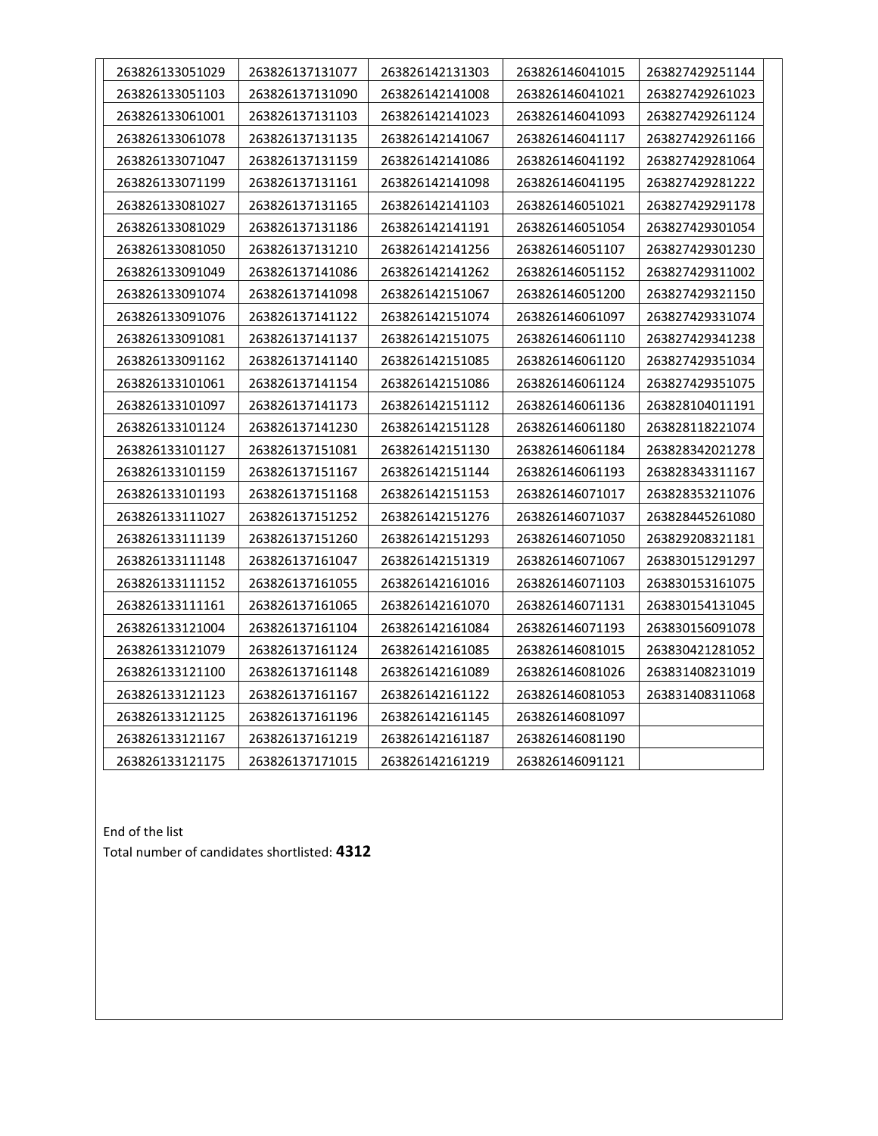| 263826133051029 | 263826137131077 | 263826142131303 | 263826146041015 | 263827429251144 |
|-----------------|-----------------|-----------------|-----------------|-----------------|
| 263826133051103 | 263826137131090 | 263826142141008 | 263826146041021 | 263827429261023 |
| 263826133061001 | 263826137131103 | 263826142141023 | 263826146041093 | 263827429261124 |
| 263826133061078 | 263826137131135 | 263826142141067 | 263826146041117 | 263827429261166 |
| 263826133071047 | 263826137131159 | 263826142141086 | 263826146041192 | 263827429281064 |
| 263826133071199 | 263826137131161 | 263826142141098 | 263826146041195 | 263827429281222 |
| 263826133081027 | 263826137131165 | 263826142141103 | 263826146051021 | 263827429291178 |
| 263826133081029 | 263826137131186 | 263826142141191 | 263826146051054 | 263827429301054 |
| 263826133081050 | 263826137131210 | 263826142141256 | 263826146051107 | 263827429301230 |
| 263826133091049 | 263826137141086 | 263826142141262 | 263826146051152 | 263827429311002 |
| 263826133091074 | 263826137141098 | 263826142151067 | 263826146051200 | 263827429321150 |
| 263826133091076 | 263826137141122 | 263826142151074 | 263826146061097 | 263827429331074 |
| 263826133091081 | 263826137141137 | 263826142151075 | 263826146061110 | 263827429341238 |
| 263826133091162 | 263826137141140 | 263826142151085 | 263826146061120 | 263827429351034 |
| 263826133101061 | 263826137141154 | 263826142151086 | 263826146061124 | 263827429351075 |
| 263826133101097 | 263826137141173 | 263826142151112 | 263826146061136 | 263828104011191 |
| 263826133101124 | 263826137141230 | 263826142151128 | 263826146061180 | 263828118221074 |
| 263826133101127 | 263826137151081 | 263826142151130 | 263826146061184 | 263828342021278 |
| 263826133101159 | 263826137151167 | 263826142151144 | 263826146061193 | 263828343311167 |
| 263826133101193 | 263826137151168 | 263826142151153 | 263826146071017 | 263828353211076 |
| 263826133111027 | 263826137151252 | 263826142151276 | 263826146071037 | 263828445261080 |
| 263826133111139 | 263826137151260 | 263826142151293 | 263826146071050 | 263829208321181 |
| 263826133111148 | 263826137161047 | 263826142151319 | 263826146071067 | 263830151291297 |
| 263826133111152 | 263826137161055 | 263826142161016 | 263826146071103 | 263830153161075 |
| 263826133111161 | 263826137161065 | 263826142161070 | 263826146071131 | 263830154131045 |
| 263826133121004 | 263826137161104 | 263826142161084 | 263826146071193 | 263830156091078 |
| 263826133121079 | 263826137161124 | 263826142161085 | 263826146081015 | 263830421281052 |
| 263826133121100 | 263826137161148 | 263826142161089 | 263826146081026 | 263831408231019 |
| 263826133121123 | 263826137161167 | 263826142161122 | 263826146081053 | 263831408311068 |
| 263826133121125 | 263826137161196 | 263826142161145 | 263826146081097 |                 |
| 263826133121167 | 263826137161219 | 263826142161187 | 263826146081190 |                 |
| 263826133121175 | 263826137171015 | 263826142161219 | 263826146091121 |                 |

End of the list Total number of candidates shortlisted: **4312**